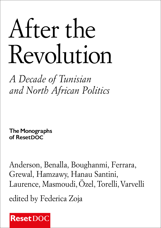# After the Revolution

*A Decade of Tunisian and North African Politics*

**The Monographs of ResetDOC**

Anderson, Benalla, Boughanmi, Ferrara, Grewal, Hamzawy, Hanau Santini, Laurence, Masmoudi, Özel, Torelli, Varvelli

edited by Federica Zoja

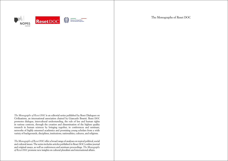

*The Monographs of Reset DOC* is an editorial series published by Reset Dialogues on Civilizations, an international association chaired by Giancarlo Bosetti. Reset DOC promotes dialogue, intercultural understanding, the rule of law and human rights in various contexts, through the creation and dissemination of the highest quality research in human sciences by bringing together, in conferences and seminars, networks of highly esteemed academics and promising young scholars from a wide variety of backgrounds, disciplines, institutions, nationalities, cultures, and religions.

*The Monographs of Reset DOC* offer a broad range of analyses on topical political, social and cultural issues. The series includes articles published in Reset DOC's online journal and original essays, as well as conferences and seminars proceedings. *The Monographs of Reset DOC* promote new insights on cultural pluralism and international affairs.

The Monographs of Reset DOC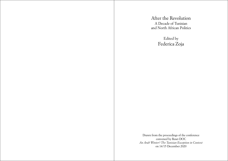After the Revolution A Decade of Tunisian and North African Politics

> Edited by Federica Zoja

Drawn from the proceedings of the conference convened by Reset DOC *An Arab Winter? The Tunisian Exception in Context* on 14/15 December 2020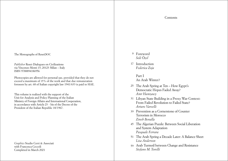The Monographs of ResetDOC

*Publisher* Reset-Dialogues on Civilizations via Vincenzo Monti 15, 20123 Milan – Italy ISBN 9788894186956

Photocopies are allowed for personal use, provided that they do not exceed a maximum of 15% of the work and that due remuneration foreseen by art. 68 of Italian copyright law 1941/633 is paid to SIAE.

This volume is realized with the support of the Unit for Analysis and Policy Planning of the Italian Ministry of Foreign Affairs and International Cooperation, in accordance with Article  $23 - \text{bis of the Decre of the}$ President of the Italian Republic 18/1967.

*Graphics* Studio Cerri & Associati with Francesca Ceccoli Completed in March 2021

- Foreword [9](#page-4-0) *Soli Özel*
- 17Introduction *Federica Zoja*

[Part I](#page-11-0) [An Arab Winter?](#page-11-0) 

- The Arab Spring at Ten How Egypt's [25](#page-12-0) Democratic Hopes Faded Away? *[Amr Hamzawy](#page-12-0)*
- Libyan State Building in a Proxy War Context: [31](#page-15-0) From Failed Revolution to Failed State? *Arturo Varvelli*
- Prevention as a Cornerstone of Counter [39](#page-19-0) Terrorism in Morocco *Zineb Benalla*
- [The Algerian Puzzle: Between Social Liberation](#page-22-0)  [45](#page-22-0) [and System Adaptation](#page-22-0) *[Pasquale Ferrara](#page-22-0)*
- The Arab Spring a Decade Later: A Balance Sheet [51](#page-25-0) *Lisa Anderson*
- [Arab Turmoil between Change and Resistance](#page-29-0)  [59](#page-29-0)*[Stefano M. Torelli](#page-29-0)*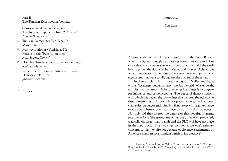# <span id="page-4-0"></span>[Part II](#page-33-0) [The Tunisian Exception in Context](#page-33-0)

- Consociational Democratization: The Tunisian Experience from 2011 to 2019 *Aymen Boughanmi*  [69](#page-34-0)
- Tunisian Democracy, Ten Years In [87](#page-43-0) *Sharan Grewal*
- Post-revolutionary Tunisia at 10: [93](#page-46-0) Pitfalls of the 'Twin Tolerations' *Ruth Hanau Santini*
- How has Tunisia created a *real* democracy? [97](#page-48-0) *Radwan Masmoudi*
- [What Role for Islamist Parties in Tunisia's](#page-51-0)  [103](#page-51-0) [Democratic Future?](#page-51-0)  *Jonathan Laurence*
- [Authors](#page-55-0)  [115](#page-57-0)

# Foreword

*Soli Özel*

Almost at the zenith of the enthusiasm for the Arab Revolts when the Syrian struggle had not yet turned into the macabre story that it is, Yemen was not a total calamity and Libya still held together, the duo of Robert Malley and Hussein Agha wrote what in retrospect turned out to be a very prescient, pessimistic assessment that went totally against the current of the times.

In their article "This is not a Revolution" Malley and Agha wrote: "Darkness descends upon the Arab world. Waste, death, and destruction attend a fight for a better life. Outsiders compete for influence and settle accounts. The peaceful demonstrations with which this began, the lofty values that inspired them, become distant memories… A scramble for power is unleashed, without clear rules, values, or endpoint. It will not stop with regime change or survival. History does not move forward. It slips sideways." Not only did they foretell the demise of that hopeful moment, just like in 1848 'the springtime of nations', they even predicted, tragically on target that "Fatah and the PLO will have no place in the new world. The two-state solution is no one's primary concern. It might expire not because of violence, settlements, or America's inexpert role. It might perish of indifference".<sup>1</sup>

<sup>1</sup> Hussein Agha and Robert Malley, "This is not a Revolution", New York Review of Books, November 8, 2012 issue [https://www.nybooks.com/articles/2012](https://www.nybooks.com/articles/2012/11/08/not-revolution/) [/11/08/not-revolution/](https://www.nybooks.com/articles/2012/11/08/not-revolution/)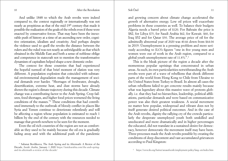And unlike 1848 to which the Arab revolts were indeed compared to, the context regionally or internationally was not nearly as propitious as that of the mid-19th century that made it possible the realization of the goals of the rebels even if these were enacted by conservative forces. That may have been the inexorable push of history at a time of an ascending new order, cognitive orientation, idealism and creativity. And perhaps despite the violence used to quell the revolts the distance between the rulers and the ruled was not nearly as unbridgeable as that which obtained in the Middle East and both a sense of noblesse oblige and competence in statecraft not to mention the transformative dynamism of capitalism helped shape a new domestic order.

The context for those countries that had experienced the hopeful turmoil of that brief moment of elation was very different. A population explosion that coincided with substantial environmental degradation made the management of societal demands ever harder. "Shortages of freshwater, drought, desertification, extreme heat, and dust storms have already shown the region's climate trajectory during this decade. Climate change was a contributing factor to the Arab Spring. Crop failures, food shortages, and higher food prices worsened the living conditions of the masses."2 These conditions that had contributed immensely to the outbreak of bloody conflict in places like Syria and Yemen continue to deteriorate relentlessly and will be affecting a region whose population is estimated to reach 1 billion by the end of the century with the resources needed to manage that growth nowhere to be seen for the moment.

Even the oil rich countries of the region are not as comfortable as they used to be mainly because the oil era is gradually fading away and with the additional push of the pandemic

and growing concern about climate change accelerated the growth of alternative energy. Low oil prices will exacerbate problems in these countries as well. To balance their budgets Algeria needs a barrel price of \$120. For Bahrain the price is \$82, for Libya \$75, for Saudi Arabia \$62, for Kuwait. \$60, for Iraq \$52 and for Qatar \$30. The average price of oil for the admittedly abnormal year of 2020 was 40.66 down from \$64.04 in 2019. Unemployment is a pressing problem and more seriously according to ILO's figures "one in five young men and women were out of work in the Arab region, compared to a global youth unemployment rate of 11.8%".3

This is the bleak picture of the region a decade after the momentous popular uprisings that concentrated in urban areas. As such, its own particularities notwithstanding the Arab revolts were part of a wave of rebellions that shook different parts of the world from Hong Kong to Chile from Ukraine to the United States from Turkey to Brazil. In almost all cases the urban rebellions failed to get concrete results mainly because what was legendary about this massive wave of protests globally. i.e. that they had no hierarchies, leadership, political affiliations, particular demands and were based on communicative power was also their greatest weakness. A social movement no matter how popular, widespread and vibrant does not by itself generate desired political outcomes. And in the case of the Arab revolts, dignity the rallying cry of the crowds particularly the desperate unemployed youth both unskilled and uneducated and more dramatically and in higher percentages the educated, did not translate in a sustained desire for democracy, however democratic the movement itself may have been. Three processes made the Arab revolts possible by creating the conditions of deep discontent and vast accumulated grievances according to Paul Kingston:

<sup>2</sup> Saltanat Berdikeeva, The Arab Spring and its Aftermath: A Review of the Decade, *Inside Arabia*, January 1 2020 [https://insidearabia.com/the-arab-spring](https://insidearabia.com/the-arab-spring-and-its-aftermath-a-review-of-the-decade/)[and-its-aftermath-a-review-of-the-decade/](https://insidearabia.com/the-arab-spring-and-its-aftermath-a-review-of-the-decade/)

<sup>3</sup> <https://www.ilo.org/beirut/areasofwork/employment-policy/lang--en/index.htm>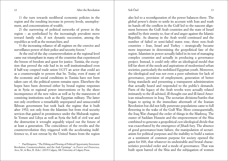1) the turn towards neoliberal economic policies in the region and the resulting increase in poverty levels, unemployment, and concentrations of wealth;

2) the narrowing of political networks of power in the region – as symbolized by the increasingly prevalent move toward family rule, if not dynastic succession, among the republics as well as the monarchies; and

3) the increasing reliance of all regimes on the coercive and surveillance power of their police and security forces.<sup>4</sup>

At the end of the day counterrevolution at the regional level came out triumphant in many of the countries that experienced the breeze of freedom and quest for justice. Tunisia, the exception that proved the rule had in its well institutionalized even if half-way coopted trade union UGTT an actor that could act as a counterweight to powers that be. Today, even if many of the economic and social conditions in Tunisia have not been taken care of, the political system remains open. Elsewhere the hopes have been drowned either by brutal regime responses as in Syria or regional power interventions or by the sheer incompetence of the new rulers as well as by the maneuvers of conniving institutions such as the Egyptian military. The latter not only overthrew a remarkably unprepared and unsuccessful Ikhwan government but took back the regime that it built after 1952; not only from the Islamists but from rival security services that gained in prominence under the Mubarak regime. In Yemen and Libya as well as Syria the hell of civil war and the destruction it wrought arguably wiped out the future of at least a generation. The coincidence of the revolts and the counterrevolution they triggered with the accelerating indifference to, if not retreat by the United States from the region

### 12 After the Revolution Soli Özel Soli Özel 13

also led to a reconfiguration of the power balances there. The global power's desire to settle its account with Iran and wash its hands off the conflicts in the Gulf led to the nascent alignment between the Gulf Arab countries and the state of Israel unified by their enmity to, fear of and anger against the Islamic Republic. As disarray in the Arab world continued and the number of failed or semi-failed states rose, three non-Arab countries – Iran, Israel and Turkey – strategically became more important in determining the geopolitical fate of the region. Islamism in power actually failed in its test of managing complex countries and actually in producing a governance project. Instead, it could only offer an ideological model that fell far short of the needs and aspirations of modernized urban societies, particularly the mobilized Egyptian youth. Moreover, the ideological zeal was not even a poor substitute for lack of governance, provision of employment, generation of better living standards and presenting a transparent administration that actually heard and responded to the public's demands. Parts of the legacy of the Arab revolts were actually related intimately to the ill-advised, ill thought-out and ill-fated American misadventure in Iraq. The sectarian divisions/battles that began to spring in the immediate aftermath of the Iranian Revolution but did not fully penetrate populations came to full flowering in the wake of the Gulf War. More consequentially, the Iraq War changed the order of things in the Mashreq. The ouster of Saddam Hussein and the empowerment of the Shia combined to generate a geopolitical *cum* ideological divide that was exacerbated by the emergence of Jihadi fury. The absence of good governance/state failure, the manipulation of sectarianism for political purposes and the inability to build a nation or a sentiment of common purpose for society opened the gates for ISIS, that whatever its undesirable and brutal characteristics provided order and a mode of governance. That was built upon hatred of the Shia and the subjugation of women

<sup>4</sup> Paul Kingston, "The Ebbing and Flowing of Political Opportunity Structures: Revolution, Counterrevolution, and the Arab Uprisings", in *Protest and Democracy*, Arce, M., & Rice, R. (Eds.). (2019) Calgary, AB: University of Calgary Press.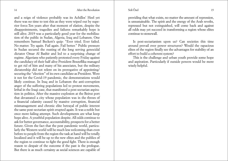and a reign of violence probably was its Achilles' Heel yet there was no time to test this as they were wiped out by superior force.Ten years after that moment of elation, despite the disappointments, tragedies and failures remarkably hope is still alive. 2019 was a particularly good year for the mobilization of the public in Sudan, Algeria, Iraq and Lebanon. One remembers Samuel Beckett's quip: "Ever tried. Ever failed. No matter. Try again. Fail again. Fail better." Public pressure in Sudan secured the ousting of the long serving genocidal dictator Omar Al Bashir and led to a surprising change of regime. Algerians who patiently protested every Friday against the candidacy of their half alive President Bouteflika managed to get rid of him and many of his associates, but the military dictatorship did not relent on its prerogative of appointing/ securing the "election" of its own candidate as President. Were it not for the Covid-19 pandemic, the demonstrations would likely continue. In Iraq and in Lebanon the anti-corruption anger of the suffering populations led to protest movements, lethal in the Iraqi case, that manifested a post-sectarian aspiration in politics. After the massive explosion at the Beirut port that devastated a city whose population was in the throes of a financial calamity caused by massive corruption, financial mismanagement and chronic elite betrayal of public interest the same post-sectarian spirit erupted again. It was a noble but once more failing attempt. Such developments are what keep hope alive. A youthful population despite. All odds continue to ask for better governance, accountability, prospects for a better future. Given the fact that the post pandemic world, particularly the Western world will be much less welcoming than even before to people from the region the task at hand will be totally localized and it will be up to the new elites and the publics of the region to continue to fight the good fight. There is enough reason to despair of the outcome if the past is the prologue. But there is as much certainty as social sciences are capable of

providing that what exists, no matter the amount of repression, is unsustainable. The spirit and the energy of the Arab revolts, repressed but not extinguished, will come back and against all odds may yet succeed in transforming a region whose elites continue to stonewall.

Is post-sectarianism upon us? Can societies this time around prevail over power structures? Would the rapacious elites of the region finally see the advantages for stability of an effort to build a coherent system?

This is the challenge and urban youth provide some hope and aspiration. Particularly if outside powers would be more wisely helpful.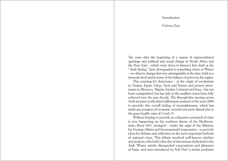# Introduction

## *Federica Zoja*

<span id="page-8-0"></span>Ten years after the beginning of a season of unprecedented uprisings and political and social change in North Africa and the Near East – which went down in history's first draft as the "Arab Spring," later downgraded to something closer to Winter – we observe change that was unimaginable at the time, both at a domestic level and in terms of the balance of power in the region.

This yearning for democracy – at the origin of revolutions in Tunisia, Egypt, Libya, Syria and Yemen and protest movements in Morocco, Algeria, Jordan, Lebanon and Iraq – has not been extinguished, but has only to the smallest extent been fully achieved over the past decade. The through-line moving across Arab societies in this third millennium moment of the years 2000 is precisely this overall feeling of incompleteness, which has made any prospect of economic revival even more dismal due to the grave health crisis of Covid-19.

Without hoping to provide an exhaustive portrayal of what is now happening on the southern shores of the Mediterranean, Reset DOC arranged – under the aegis of the Ministry for Foreign Affairs and International Cooperation – to provide ideas for debates and reflection on the most important hotbeds of regional crises. This debate involved well-known scholars and analysts, who held a first day of discussions dedicated to the Arab Winter amidst disregarded expectations and glimmers of hope, and were introduced by Soli Özel (a senior professor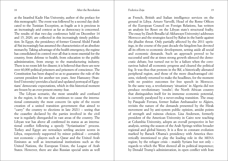### Federica Zoja

at the Istanbul Kadir Has University, author of the preface for this monograph). The event was followed by a second day dedicated to the Tunisian Exception, as fragile as it is precious in an increasingly arid context as far as democracy is concerned. The results of that two-day conference held on December 14 and 15, 2020, are collected in this increasingly timely publication. In Egypt, the presidency of former General Abdel Fattah al-Sisi increasingly has assumed the characteristics of an absolute monarchy. Taking advantage of the health emergency, the regime has consolidated its control over all that is most essential for the country, from defense to health, from education to the public administration, from energy to the manufacturing industry. There is no room left for dissent; it is believed that there are now over 60,000 political prisoners and prisoners of conscience. The Constitution has been shaped so as to guarantee the rule of the current president for another ten years. Amr Hamzawy (Stanford University) provides a lucid and updated portrayal of Egyptians' democratic expectations, which in this historical moment are frozen by an ever-present enemy: fear.

The Libyan scenario, the most unstable and confused in the region, is the one that continues to cause the international community the most concern (in spite of the recent creation of a united transition government that aimed to "carry" the country to elections in late 2021) – seeing that the ceasefire declared by the parties involved in the civil war is regularly disregarded in vast areas of the country. The Libyan war has above all confirmed its status as an international conflict following a speedy "Syrianisation" process. Turkey and Egypt are nowadays settling ancient scores in Libya, respectively supported by minor political – certainly not economic – players such as Qatar and the United Arab Emirates as well as international institutions such as the United Nations, the European Union, the League of Arab States. However, there are also Russian special units as well

as French, British and Italian intelligence services on the ground in Libya. Arturo Varvelli, Head of the Rome Offices of the European Council on Foreign Relations, has written an analysis for Reset on the Libyan state's structural frailty. The essay by Zineb Benalla (al-Akhawayn University) addresses Morocco and the strategies faced by Rabat in the battle against the jihadist threat. Only partially affected by the 2011 uprisings, in the course of the past decade the kingdom has devoted all its efforts to economic development, setting aside all social and economic demands. Such an approach proved to be successful until the at times strong growth silenced the democratic debate, but turned out to be a failure when the coronavirus halted all economic progress and cleared the political fog. It was thus that protests in the Rif, a historically alienated peripheral region, and those of the more disadvantaged citizens, violently returned to make the headlines, for the moment with no positive outcomes for free speech in Morocco. In the same way, a revolutionary 'situation' in Algeria did not produce revolutionary 'results'; the North African country that distinguishes itself for its immense economic potential, is currently paralyzed by a never-ending transition. The essay by Pasquale Ferrara, former Italian Ambassador to Algiers, revisits the nature of the demands presented by the Hirak movement and by anti-system public opinion, amidst points of strength and ruinous choices. Lisa Anderson, formerly president of the American University in Cairo now teaching at Columbia University, adopts an overall perspective in her analysis, setting the season of the Arab Springs within broader regional and global history. It is a flow in constant evolution marked by Barack Obama's presidency with America theoretically intentioned to play the leading role in the MENA region; by the refugee crisis – mainly Syrians but not only – regards to which the West showed all its political impotence; by Donald Trump's administration, in open conflict with Iran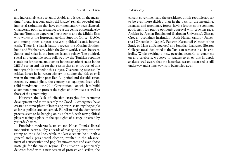### Federica Zoja

and increasingly close to Saudi Arabia and Israel. In the meantime, "bread, freedom and social justice" remain powerful and immortal aspirations that have only momentarily been silenced. Change and political resistance are at the centre of the article by Stefano Torelli, an expert on North Africa and the Middle East who works at the European Asylum Support Office (EASO), and among other subjects analyses political Islam's internal clash. There is a harsh battle between the Muslim Brotherhood and Wahhabism, within the Sunni world, as well between Sunnis and Shias in the broader Islamic galaxy. The political, social and economic route followed by the Tunisian republic stands out for its total uniqueness in the scenario of states in the MENA region and it is for that reason that an entire part of this monograph is devoted to this subject. Overcoming successfully critical issues in its recent history, including the risk of civil war in the immediate post-Ben Ali period and destabilisation caused by armed jihad, the country has equipped itself with solid foundations – the 2014 Constitution – on which to build a common home to protect the rights of individuals as well as those of the community.

However, the lack of effective strategies for economic development and more recently the Covid-19 emergency, have created an atmosphere of increasing mistrust among the people as far as politics are concerned. Pluralism and the democratic process seem to be hanging on by a thread, with new political players taking a place in the spotlights of a stage deserted by yesterday's stars.

Ennahda's moderate Islamists and Nidaa Tounès' liberal modernists, worn out by a decade of managing power, are now sitting on the side-lines, while the last elections held, both a general and a presidential election, resulted in the advancement of conservative and populist movements and even those nostalgic for the ancien régime. The situation is particularly delicate; faced with a new season of protests and strikes, the

current government and the presidency of this republic appear to be even more divided than in the past. In the meantime, Islamists and reactionary forces, having forgotten the common good, fight for public opinion's approval with growing rage. Articles by Aymen Boughanmi (Kairouan University), Sharan Grewal (Brookings Institution), Ruth Hanau Santini (Università l'Orientale in Naples), Radwan Masmoudi (Center of the Study of Islam & Democracy) and Jonathan Laurence (Boston College) are all dedicated to the Tunisian scenario in all its criticality. While awaiting a new, peaceful scenario to comment on and celebrate, we leave to readers to enjoy this in-depth analysis, well-aware that the historical season discussed is still underway and a long way from being filed away.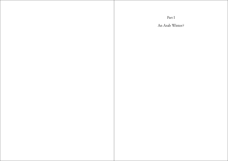<span id="page-11-0"></span>Part I An Arab Winter?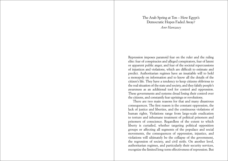# The Arab Spring at Ten – How Egypt's Democratic Hopes Faded Away? *Amr Hamzawy*

<span id="page-12-0"></span>Repression imposes paranoid fear on the ruler and the ruling elite: fear of conspiracies and alleged conspirators, fear of latent or apparent public anger, and fear of the societal repercussions of injustices and violations, which are difficult to estimate and predict. Authoritarian regimes have an insatiable will to hold a monopoly on information and to know all the details of the citizen's life. They have a tendency to keep citizens oblivious to the real situation of the state and society, and they falsify people's awareness as an additional tool for control and oppression. These governments and systems dread losing their control over the citizens, and constantly fear uprisings or revolutions.

There are two main reasons for that and many disastrous consequences. The first reason is the constant oppression, the lack of justice and liberties, and the continuous violations of human rights. Violations range from large-scale eradication to torture and inhumane treatment of political prisoners and prisoners of conscience. Regardless of the extent to which liberty is curtailed, whether targeting political opposition groups or affecting all segments of the populace and social movements, the consequences of oppression, injustice, and violations will ultimately be the collapse of the government, the regression of society, and civil strife. On another level, authoritarian regimes, and particularly their security services, recognize the limited long-term effectiveness of repression. But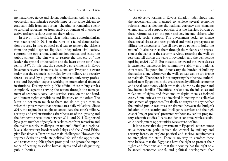no matter how fierce and violent authoritarian regimes can be, oppression and injustice provide impetus for some citizens to gradually shift from supporters (cheering or remaining silent) to terrified retreaters, or from passive opponents of injustice to active resisters seeking efficient alternatives.

In Egypt, it is perfectly clear today that authoritarianism was established in 2013 on the ruins of a failed democratization process. Its first political goal was to remove the citizens from the public sphere, liquidate independent civil society, suppress the opposition, eliminate free media, and close the public sphere. The aim was to restore the lost era of "one leader, the symbol of the nation and the heart of the state" that fell in 1967. To this day, the successive governments in Egypt have not recovered from this delusional era. Everyone is aware today that the regime is controlled by the military and security forces, assisted by a group of technocrats, university professors, and Egyptian experts working in international financial institutions. Dealing with public affairs, these ruling circles completely separate serving the nation through the management of economic, social, and service issues, on the one hand, and human rights conditions and liberties, on the other. The latter do not mean much to them and do not push them to reject the government that accumulates daily violations. Since 2013, the regime has sought to consolidate the state's military, security, and civil institutions after the years of the uprising and the democratic revolution between 2011 and 2013. Supported by a great number of people, it seeks to confront terrorism and the major security challenges on national (Sinai) and regional levels (the western borders with Libya and the Grand Ethiopian Renaissance Dam are two main challenges). However, the regime's desire to annihilate political life, stifle the opposition, and restrict the public sphere prompted it to ignore the importance of ceasing to violate human rights and of safeguarding public liberties.

An objective reading of Egypt's situation today shows that the government has managed to achieve several economic reforms, such as floating the national currency and changing energy and food support policies. But the heaviest burden of these reforms falls on the poor and low-income citizens who also lack social support. The government seeks to silence these social classes and uses political and media propaganda to diffuse the discourse of "we all have to be patient to build the nation". It also restricts them through the violence and repression at the hands of the security services, restoring the walls of fear that fell during the years of revolution and the democratic uprising of 2011-2013. But this attitude toward the lower classes is extremely dangerous for community stability and national consensus. The poor should not carry the burden of building the nation alone. Moreover, the walls of fear can be too fragile to maintain. Therefore, it is not surprising that the new authoritarianism in Egypt denies the crisis caused by difficult economic and social conditions, which are mainly borne by the poor and low-income families. The official circles deny the injustices and violations of rights and freedoms or depict them as isolated cases. Some officials are also involved in inciting the collective punishment of opponents. It is finally no surprise to anyone that the limited public resources are drained between the budget's inflation of the security and intelligence services and the high cost of "major projects" presented without any serious preparatory scientific studies. Loans and debts continue, while sustainable development opportunities face severe decline.

It is no secret that the government in Egypt will not renounce its authoritarian path, reduce the control by military and security forces, or explore political and societal requirements to strengthen the state. There is no way to comfort those who believe that the Egyptians have the right to protect their rights and freedoms and that their country has the right to a balanced economic, social, and political development that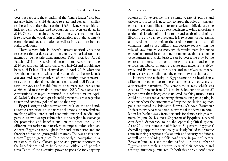does not replicate the situation of the "single leader" era, but actually helps to avoid dangers to state and society – similar to those faced after the crushing 1967 defeat. Censorship of independent websites and newspapers has even escalated in 2019. One of the main objectives of these censorship policies is to prevent the circulation of information about the country's economic and social situation as well as in relation to human rights violations.

There is very little in Egypt's current political landscape to suggest that, a decade ago, the country embarked upon an attempt at democratic transformation. Today, President Abdel Fattah al-Sisi is now serving his second term. According to the 2014 constitution, this term was to end in 2022 and should have been al-Sisi's last. That changed on 16 April 2019, when the Egyptian parliament – whose majority consists of the president's acolytes and representatives of the security establishment– passed constitutional amendments that extend al-Sisi's current term into 2024 and enable him to once more seek reelection; al-Sisi could now remain in office until 2030. The package of constitutional changes, confirmed in a referendum on April 20-22 2019, also expands presidential powers vis-à-vis the justice system and confers a political role on the army.

Egypt is caught today between two evils: on the one hand, systemic corruption on the part of the new authoritarianism, involving official circles and economic, financial, media, and party elites who accept submission to the regime in exchange for protection and benefits and, on the other, the use of different authoritarian narratives to impose submission on citizens. Egyptians are caught in fear and intimidation and are therefore forced to ignore public matters. The war on freedom t costs Egypt a great price. In order to fight corruption, it is necessary to fairly allocate public and private resources to the beneficiaries and to implement an official and popular surveillance of the executive power responsible for assigning

resources. To overcome the systemic waste of public and private resources, it is necessary to apply the rules of transparency and accountability and foster a fearless public debate able to trace, document, and expose negligence. While terrorism is a criminal violation of the right to life and an absolute denial of liberty, the only way to overcome it is to secure justice, rights, and freedoms, to commit to the credible promise to stop all violations, and to use military and security tools within the rule of law. Finally, violence, which results from inhumane extremism spread in unjust environments lacking sustainable development and social justice, can be overcome only by the exercise of liberty of thought, liberty of peaceful and public expression, liberty of public debate guaranteeing its objectivity, and liberty to ask for justice and to activate its mechanisms vis-à-vis the individual, the community, and the state.

However, the majority in Egypt seems to be headed in a different direction due to the government's effective use of authoritarian narratives. The voter-turnout rate, which was close to 50 percent from 2011 to 2013, has sunk to about 25 percent over the subsequent years. And if sinking turnout rates could be understood as reflecting disinterest in participating in elections where the outcome is a foregone conclusion, opinion polls conducted by Princeton University's Arab Barometer Project show that a considerable segment of the Egyptian population has backed away from demands for democratic government. In June 2011, almost 80 percent of Egyptians surveyed considered democracy to be the optimal political system. As of 2016, this number had fallen to 53 percent. Egyptians' dwindling support for democracy is clearly linked to dramatic shifts in their perceptions of economic and security conditions, as well as to declining public confidence in political actors. Between June 2011 and the first half of 2013, the number of Egyptians who took a positive view of their economic and security situation plummeted. In both these areas, confidence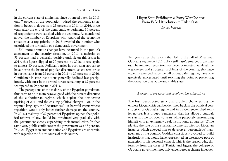in the current state of affairs has since bounced back. In 2013 only 7 percent of the population judged the economic situation to be good, down from 23 percent in 2011. In 2016, three years after the end of the democratic experiment, 30 percent of respondents were satisfied with the economy. As mentioned above, the number of Egyptians who regarded the economic situation as a top priority in 2016 dwarfed the number who prioritized the formation of a democratic government.

Still more dramatic changes have occurred in the public's assessment of the security situation. In 2011, a majority of 53 percent had a generally positive outlook on this issue; in 2013, this figure slipped to 20 percent; by 2016, it rose again to almost 80 percent. Political parties in particular appear to have borne the brunt of popular discontent, as citizens' trust in parties sank from 58 percent in 2011 to 20 percent in 2016. Confidence in state institutions generally declined less precipitously, with trust in the armed forces remaining at 85 percent (compared to 99 percent in 2011).

The perceptions of the majority of the Egyptian population thus seem to be in many ways aligned with the current discourse of the authoritarian regime, which depicts the democratic uprising of 2011 and the ensuing political changes – or, in the regime's language, the "occurrences"– as harmful events whose repetition would only inflict further damage on the country. In 2016 a majority of 82 percent of Egyptians opined that political reforms, if any, should be introduced very gradually, with the government closely supervising their introduction. In that same year, public confidence in the government was 65 percent. In 2021, Egypt is an anxious nation and Egyptians are uncertain with regard to the future course of their country.

# Libyan State Building in a Proxy War Context: From Failed Revolution to Failed State? *Arturo Varvelli*

Ten years after the revolts that led to the fall of Muammar Gaddafi's regime in 2011, Libya still hasn't emerged from chaos. The initiated revolution was never completed, while all the weaknesses and structural problems of the country, that have violently emerged since the fall of Gaddafi's regime, have progressively exacerbated until reaching the point of preventing the formation of a viable and stable state.

# *A review of the structural problems haunting Libya*

The first, deep-rooted structural problem characterizing the endless Libyan crisis can be identified back in the political construction of Gaddafi's regime and in its well-entrenched rentier nature. It is indeed 'rentierism' that has allowed Gaddafi to stay in rule for over 40 years while purposely surrounding himself with an extremely weak institutional apparatus. While playing the role of the essential income supplier for Libya, an instance which allowed him to develop a 'personalistic' management of the country, Gaddafi consciously avoided to build institutions that would have represented an alternative pole of attraction to his personal control. This is the reason why, differently from the cases of Tunisia and Egypt, the collapse of Gaddafi's government not only engendered a change in leader-

<span id="page-15-0"></span><sup>30</sup> After the Revolution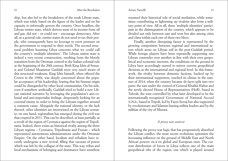ship, but also led to the breakdown of the weak Libyan state, which was solely based on the figure of the leader and on his capacity to informally govern the country. Once headless, the Libyan rentier state, which derives most of its income from oil and gas, did not – or could not – encourage democracy. After all, as a general rule, rentier states do not need to tax their people, who consequently have no leverage to exert pressure on the government to respond to their needs. The second structural problem haunting Libya concerns what we could call the country's 'multiple identities'. The Libyan nation state is indeed a very recent construction, resulting from the bloody transition from the Ottoman control to the Italian colonial rule at the beginning of the 20th century. Both King Idris al-Senussi and Colonel Muammar Gaddafi were very much aware of this structural weakness. King Idris himself, when offered the Crown in the 1940s, was deeply concerned about the popular acceptance of his leadership, fearing that his Senussi origin could be disregarded by other local communities. On his side, even if somehow artificially, Gaddafi tried to build a new Libyan national narrative by leveraging the population's anti-colonial and anti-imperialist feelings, desperately looking for an external enemy in order to bring the Libyans together around a common cause. Alongside the national identity, or the lack thereof, other identities are intertwined on the Libyan scenario: on one hand, regionalism has emerged during the civil war that erupted in 2011. This can be described, at least partially, as a revolt of the region of Cyrenaica against the region of Tripolitania. Indeed, there exists an historical rivalry among the three Libyan regions – Cyrenaica, Tripolitania and Fezzan – which represented autonomous administrations under the Ottoman Empire. On the other hand, localism and tribalism have recently undergone a new revival, filling that vacuum of power which was left by the collapse of the state. This way, tribes and local mechanisms of belonging and dominance have somehow

resumed their historical role of social mediation, while sometimes contributing to lightening up rivalries also from a military point of view. All in all, these 'multiple identities' participate in the disintegration of the country, which appears to be divided not only between east and west but also among cities and clans within each one of these two blocs.

Finally, another disrupting factor is represented by the growing competition between regional and international actors which arose on Libyan soil in the post-Gaddafi period. While foreign players have been repeatedly supporting one Libyan contender over another in line with their own geopolitical and economic interests, the conditions on the ground in Libya have accordingly started to mirror current geopolitical divisions at the international and regional level. In this framework, the rivalry between domestic factions, backed up by their international supporters, reached its climax in the summer of 2014, when the country became de facto split into two parts: the east under the control of General Khalifa Haftar and the newly elected House of Representatives (HoR), based in Tobruk; the west controlled by what later developed to be the internationally-recognized Government of National Accord (GNA), based in Tripoli, led by Fayez Serraj but also supported by revolutionary and Islamist leaning militia leaders and by the militias of the city of Misrata.

### *A proxy war context*

Following the proxy-war logic that has progressively absorbed the Libyan conflict, the most recent evolutions epitomize the increasing influence on the ground of Middle East and North African powers vis-à-vis global and European ones. The current distribution of forces in Libya reflects one of the main geopolitical rifts of the region, one which is played around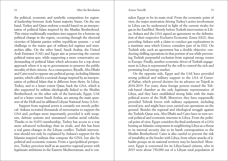### Arturo Varvelli

the political, economic and symbolic competition for regional leadership between Arab Sunni majority States. On the one hand, Turkey and Qatar endorse a model based on an interpretation of political Islam inspired by the Muslim Brotherhood. This vision traditionally translates into support for a bottom-up political change in the region, occurring through the electoral victories of Islamist parties within republican systems – a real challenge to the status quo of military-led regimes and monarchies alike. On the other hand, Saudi Arabia, the United Arab Emirates (UAE) and Egypt aim at preserving the current political status-quo, while supporting a more conservative understanding of political Islam which advocates for a top-down approach where it is up to governments to preserve the public morality of their citizens. As a consequence, Riyadh, Abu Dhabi and Cairo tend to oppose any political group, including Islamist parties, which calls for a societal change inspired by an interpretation of political Islam that is different from theirs. In Libya, Turkey, and to a lesser extent Qatar, back the GNA, which is also supported by militias ideologically linked to the Muslim Brotherhood; on the other side of the barricade, Egypt, UAE and to a lesser extent Saudi Arabia, are among the main sponsors of the HoR and its affiliated Libyan National Army (LNA).

Support from regional actors is certainly not merely political: Ankara recruited thousands of mercenaries to support the GNA and, perhaps more importantly, provided it with weapons, defense systems and unmanned combat aerial vehicles. Thanks to its NATO membership, Turkey has access to a way more advanced technology than its rivals, and this has been a real game-changer in the Libyan conflict. Turkish intervention should not only be explained by Ankara's support for the Islamist-inspired militias that compose the GNA, but also by political and economic reasons. From a (geo)political perspective, Turkey perceives itself as an assertive regional power with legitimate ambitions in the Eastern Mediterranean, and it con-

siders Egypt to be its main rival. From the economic point of view, the major motivation driving Turkey's active involvement in Libya can be understood in light of the current rivalry for gas in the EastMed. Shortly before Turkish intervention in Libya, Ankara and the GNA signed an agreement on the delimitation of their respective Exclusive Economic Zones (EEZ), thus providing Ankara with a claim to conduct gas explorations in a maritime area which Greece considers part of its EEZ. On Turkish side, such an agreement has a double objective: conducting drilling operations in that portion of sea while preventing Turkish purposeful exclusion from regional energy routes to Europe. Finally, another economic driver of Turkish engagement in Libya is represented by the will to control the rich and promising local energy market.

On the opposite side, Egypt and the UAE have provided strong political and military support to the LNA of General Haftar, which proved decisive for its advance on Tripoli in 2018-2019. For years, these foreign powers treated the Tobruk-based chamber as the only legitimate representative of Libya, and they have established strong links with the main political actors of the HoR. Moreover, they have supposedly provided Tobruk forces with military equipment, including several jets, and might have even carried out operations on the ground. Besides the regional and ideological struggle against the Turkish-Qatar axis, Abu Dhabi and Cairo have in turn several political and economic interests in Libya. From the political point of view, Egypt considers the final settlement of a GNA hosting an Islamist component in neighboring Libya as a threat to its internal security due to its harsh contraposition to the Muslim Brotherhood. Cairo is also careful to prevent the risk of instability at the border with Libya, from where attacks of jihadist groups on its national territory may be launched. Moreover, Egypt is concerned for its Libya-based citizens, who in 2015 were about 750,000 out of a Libyan total population of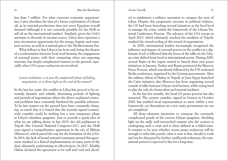### Arturo Varvelli

less than 7 million. For what concerns economic opportunities, Cairo cherishes the idea of a future exploitation of Libyan oil, as its internal production does not cover Egyptian overall demand (although it is not currently possible for the HoR to sell oil on the international market). Similarly, given the UAE's attempts to diversify its income source, Libya does represent a juicy investment opportunity for the energy, logistic and transport sectors, as well as a natural gate to the Mediterranean Sea.

What follows is that Libya is far from only being the theatre of a confrontation between local rival factions; the engagement of external actors, with their competing when not opposing interests, has deeply complicated matters on the ground, especially when UN's peace endeavors are involved.

# *Latest evolutions: is it just the umpteenth phase of failing negotiation, or is there light at the end of the tunnel?*

In the last few years, the conflict in Libya has proved to be extremely dynamic and volatile, alternating periods of fighting and periods of negotiations where the above-explained contextual problems have constantly hindered the possible solutions. To be fair, matters on the ground have been constantly changing, so much that it is feared that the recently signed countrywide ceasefire could be nothing but a new, temporary phase in Libya's relentless quagmire. Just to provide a quick idea of what we are talking about: in late 2015, the old parliament in Tripoli (the General National Congress-GNC) and the HoR even signed a comprehensive agreement in the city of Skhirat (Morocco), which paved the way for the formation of the GNA. In 2016, the lack of broad national consensus around this agreement resulted in a flawed implementation of many parts of the deal, ultimately undermining its effectiveness. In 2017, Khalifa Haftar declared the agreement to be null and void and decid-

ed to implement a military operation to conquer the west of Libya. Despite this progressive increase in political violence, the UN had been launching several initiatives at the local level to manage the crisis, within the framework of the Libyan National Conference Process. The advance of the LNA troops in April 2019, which ultimately reached the outskirts of Tripoli, marked the virtual ending of this round of negotiations.

In 2020, international leaders increasingly recognized the influence and impact of external powers in the conflict at a diplomatic level; it followed that the focus of the talks on the Libyan crisis shifted from local to international actors. During 2020, several States of the region started to launch their own peace initiatives: in January, Turkey and Russia promoted the Moscow Peace Process, which was shortly followed by the UN-endorsed Berlin conference, organized by the German government. After the military defeat of Haftar in Tripoli, in June Egypt launched the Cairo initiative; also Morocco has been organizing several rounds of talks between Libyan rival factions, while trying hard to play the role of a benevolent and neutral mediator.

In the last few months, the local UN peace-process has also restarted. The current ceasefire, signed in Geneva in October 2020, has enabled local representatives to meet within a new framework, yet discussions on a new unity government are not yet completed.

All these elements intertwine to compose the extremely complicated puzzle of the current Libyan quagmire, shedding light on the sadly well-entrenched reasons why the country is undergoing such a crisis and is often defined as a failed state. It remains to be seen whether recent peace endeavors will be enough to solve this puzzle; what is sure is that, should it work and not be disrupted by further conflictual evolutions, the transitional period is expected to last for a long time.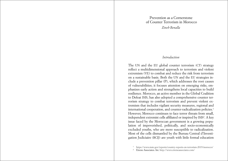# Prevention as a Cornerstone of Counter Terrorism in Morocco *Zineb Benalla*

# *Introduction*

<span id="page-19-0"></span>The UN and the EU global counter terrorism (CT) strategy reflect a multidimensional approach to terrorism and violent extremism (VE) to combat and reduce the risk from terrorism on a sustainable basis. Both the UN and the EU strategies include a prevention pillar (P), which addresses the root causes of vulnerabilities; it focuses attention on emerging risks, emphasizes early action and strengthens local capacities to build resilience. Morocco, an active member in the Global Coalition to Defeat ISIS, has also adopted a comprehensive counter terrorism strategy to combat terrorism and prevent violent extremism that includes vigilant security measures, regional and international cooperation, and counter-radicalization policies.<sup>1</sup> However, Morocco continues to face terror threats from small, independent extremist cells affiliated or inspired by ISIS2 . A key issue faced by the Moroccan government is a growing population of impoverished, politically, and socio-economically excluded youths, who are more susceptible to radicalization. Most of the cells dismantled by the Bureau Central d'Investigation Judiciaire (BCIJ) are youth with little formal education

- <sup>1</sup> <https://www.state.gov/reports/country-reports-on-terrorism-2019/morocco/>
- <sup>2</sup> Eirene Associates. Int. <http://www.eireneassociates.com/>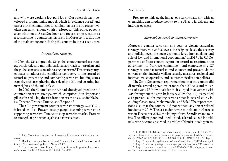and who were working low-paid jobs.<sup>3</sup> Our research team developed a programming model, which is 'evidence based' and target at risk communities to combat terrorism and prevent violent extremism among youth in Morocco. This policy paper is a contribution to ResetDoc book and focuses on prevention as a cornerstone to countering terrorism in Morocco to tackle one of the main emergencies facing the country in the last ten years.

# *International strategies*

In 2006, the UN adopted the UN global counter terrorism strategy, which reflects a multidimensional approach to terrorism and the global consensus on addressing terrorism.4 This strategy urges states to address the conditions conducive to the spread of terrorism, preventing and combatting terrorism, building states capacity and strengthening the role of the UN, and ensuring human rights and the rule of law.

In 2005, the Council of the EU had already adopted the EU counter terrorism strategy, which comprises four important pillars for reducing the risk from terrorism on a sustainable basis: Prevent, Protect, Pursue, and Respond.<sup>5</sup>

The UK's government counter terrorism strategy, CONTEST, is based on 4Ps – Prevent: to stop people becoming terrorists or supporting terrorism. Pursue: to stop terrorist attacks. Protect: to strengthen protection against a terrorist attack.

<sup>3</sup> [https://jamestown.org/program/the-ongoing-fight-to-contain-terrorism-in-mo](https://jamestown.org/program/the-ongoing-fight-to-contain-terrorism-in-morocco/)[rocco/](https://jamestown.org/program/the-ongoing-fight-to-contain-terrorism-in-morocco/)4 Resolution adopted by the General Assembly, The United Nations Global

Counter-Terrorism strategy, United Nations, 2006.

<sup>5</sup> The European Union Counter-Terrorism Strategy. [https://eur-lex.europa.](https://eur-lex.europa.eu/legal-content/EN/TXT/?uri=LEGISSUM%3Al33275) [eu/legal-content/EN/TXT/?uri=LEGISSUM%3Al33275](https://eur-lex.europa.eu/legal-content/EN/TXT/?uri=LEGISSUM%3Al33275)

Prepare: to mitigate the impact of a terrorist attack<sup>6</sup>-with an overarching aim toreduce the risk to the UK and its citizens and interests overseas.

# *Morocco's approach to counter terrorism*

Morocco's counter terrorism and counter violent extremism strategy intervenes at five levels: the religious level, the security and judicial level, the socio-economic level, human rights and rule of law, and international cooperation.7 In 2019 The US Department of State country report on terrorism reaffirmed the government of Morocco commitment and comprehensive CT strategy to combat terrorism and counter and prevent violent extremism that includes vigilant security measures, regional and international cooperation, and counter-radicalization policies.<sup>8</sup>

The State Department report mentions that the country did dismantle several operations of more than 25 cells and the arrest of over 125 individuals for their alleged involvement with ISIS throughout the year. In January 2019, the BCIJ dismantled a 13-person cell for inciting terror crimes in several cities, including Casablanca, Mohammedia, and Sale.<sup>9</sup> The report mentions also that the country did not witness any terror-related incidents in 2019. The last major terrorist incident in Morocco was in December 2018, the killing of two Scandinavians tourists. The killers, poor and uneducated, self-radicalized individuals, who became absorbed in a violent Islamist ideology in so-

<sup>8</sup> <https://www.state.gov/reports/country-reports-on-terrorism-2019/morocco/>

<sup>9</sup> [https://www.moroccoworldnews.com/2020/06/306791/us-department-mo](https://www.moroccoworldnews.com/2020/06/306791/us-department-moroccos-counterterrorism-efforts-mitigate-risk-of-terrorism/)[roccos-counterterrorism-efforts-mitigate-risk-of-terrorism/](https://www.moroccoworldnews.com/2020/06/306791/us-department-moroccos-counterterrorism-efforts-mitigate-risk-of-terrorism/)

<sup>6</sup> CONTEST, The UK strategy for countering terrorism, June 2018. [https://as](https://assets.publishing.service.gov.uk/government/uploads/system/uploads/attachment_data/file/716907/140618_CCS207_CCS0218929798-1_CONTEST_3.0_WEB.pdf)[sets.publishing.service.gov.uk/government/uploads/system/uploads/attachment\\_](https://assets.publishing.service.gov.uk/government/uploads/system/uploads/attachment_data/file/716907/140618_CCS207_CCS0218929798-1_CONTEST_3.0_WEB.pdf) [data/file/716907/140618\\_CCS207\\_CCS0218929798-1\\_CONTEST\\_3.0\\_WEB.pdf](https://assets.publishing.service.gov.uk/government/uploads/system/uploads/attachment_data/file/716907/140618_CCS207_CCS0218929798-1_CONTEST_3.0_WEB.pdf)

<sup>7</sup> <https://www.ohchr.org/Documents/Issues/RuleOfLaw/PCVE/Morocco.pdf>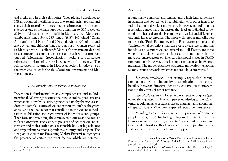cial media and in their cell phones. They pledged allegiance to ISIS and planned the killing of the two Scandinavian tourists and shared their recording on social media. Moroccans are also considered as one of the main suppliers of fighters to ISIS. Based on 2019 official statistics by the BCIJ in Morocco, 1600 Moroccan combatants joined Syria. 785 joined "ISIS", 100 joined "Cham Al Islam", 52 "al-Nosra" and 500 died. About 300 minors and 200 women and children joined and about 59 women returned to Morocco with 13 children.<sup>10</sup> Morocco's government decided to accompany its counter terrorism approach with a program dubbed "Moussalha" (reconciliation), seeking to reintegrate prisoners convicted of terror-related activities into society.13 The reintegration of returnees in Moroccan society is today one of the main challenges facing the Moroccan government and Moroccan society.

### *A sustainable counter terrorism in Morocco*

Prevention is fundamental in any comprehensive and multidimensional CT strategy because the pursue and respond streams which mainly involve security agencies can not by themselves address the complex nature of violent extremism, such as the grievances, and the ideologies that contribute to the violent radicalisation, mobilisation and recruitment of individuals and groups. Therefore, understanding the context, root causes and factors of violent extremism is necessary to prevent and counter violent extremism and radicalisation on a sustainable basis, using evidence and targeted interventions specific to a country, and a region. The UN plan of Action for Preventing Violent Extremism highlights the presence of certain recurrent factors, which are common

among many countries and regions and which lead sometimes in isolation and sometimes in combination with other factors to radicalisation and violent extremism. However, radicalisation is a complex concept and the factors that lead an individual to becoming radicalised are highly complex and varied and differ from one individual to another. The most well-known radicalisation model is the 'Push/Pull framework'<sup>11</sup>. Push factors are structural /environmental conditions that can create grievances prompting individuals to support violent extremism. Pull Factors are those which make violent extremist ideas and groups appealing or more proximate factors of violence. This model is used in USAID programming. However, there is another model used by EU programmes. The model examines: structural motivations, enabling factors, groups network dynamics and individual incentives<sup>12</sup>.

\_ *Structural motivators* – for example, repression, corruption, unemployment, inequality, discrimination, a history of hostility between different identities, external state interventions in the affairs of other nations.

\_ *Individual incentives* – for example, a sense of purpose (generated through action in line with perceived ideological views), adventure, belonging, acceptance, status, material temptations, fear of repercussions by VE entities, expected rewards in the afterlife.

\_ *Enabling factors* – for example, the presence of 'extreme people and groups' (including religious leaders, individuals from social networks, etc.), access to 'radical' online communities, social networks with VE associations, a comparative lack of state influence, an absence of familial support.

<sup>10</sup> [https://fr.le360.ma/societe/vers-un-retour-des-marocaines-de-daech-detenues](https://fr.le360.ma/societe/vers-un-retour-des-marocaines-de-daech-detenues-en-syrie-201714)[en-syrie-201714](https://fr.le360.ma/societe/vers-un-retour-des-marocaines-de-daech-detenues-en-syrie-201714)

<sup>&</sup>lt;sup>11</sup> The Development Response to Violent Extremism and Insurgency: Putting Principles into Practice" USAID Policy, USAID, September 2011. [www.pdf.usaid.](http://www.pdf.usaid.gov/pdf_docs/Pdacs400.pdf) [gov/pdf\\_docs/Pdacs400.pdf](http://www.pdf.usaid.gov/pdf_docs/Pdacs400.pdf)

 $\overline{12}$  Strengthening Resilience to Violent Extremism (STRIVE II) in Kenya. [https://](https://rusi.org/sites/default/files/strive_ii_manual_final_web_version.pdf) [rusi.org/sites/default/files/strive\\_ii\\_manual\\_final\\_web\\_version.pdf](https://rusi.org/sites/default/files/strive_ii_manual_final_web_version.pdf)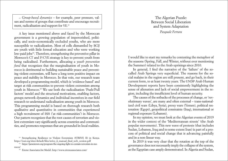<span id="page-22-0"></span>\_ *Group-based dynamics* – for example, peer pressure, values and norms of groups that contribute and encourage recruitment, radicalisation and support for VE.13

A key issue mentioned above and faced by the Moroccan government is a growing population of impoverished, politically, and socio-economically excluded youths, who are more susceptible to radicalization. Most of cells dismantled by BCIJ are youth with little formal education and who were working low-paid jobs<sup>14</sup>. Therefore, strengthening the preventive pillar in Morocco's CT and P/CVE strategy is key to prevent youth from being radicalised. Furthermore, allocating a *youth prevention fund* that recognizes that the marginalisation of youth in Morocco is detrimental to building sustainable peace and preventing violent extremism, will have a long term positive impact on peace and stability in Morocco. In that vein, our research team developed a programming model, which is 'evidence based' and target at risk communities to prevent violent extremism among youth in Morocco.15 We use both the radicalisation 'Push/Pull factors' model and the structural motivations, enabling factors, groups network dynamics and individual incentives in our field research to understand radicalisation among youth in Morocco. This programming model is based on thorough research both qualitative and quantitative in communities that experienced a high recruitment of ISIS ('at risk-communities') in Morocco. Our pattern recognizes that the root causes of terrorism and violent extremism vary significantly across countries and communities, and promotes responses that are grounded in local realities.

<sup>13</sup> Strengthening Resilience to Violent Extremism (STRIVE II) in Kenya. https://rusi.org/sites/default/files/strive\_ii\_manual\_final\_web\_version.pdf 14 [https://jamestown.org/program/the-ongoing-fight-to-contain-terrorism-in-mo-](https://jamestown.org/program/the-ongoing-fight-to-contain-terrorism-in-morocco/)

[rocco/](https://jamestown.org/program/the-ongoing-fight-to-contain-terrorism-in-morocco/)15 Eirene Associates.Int Model. <http://www.eireneassociates.com/>

The Algerian Puzzle: Between Social Liberation and System Adaptation

*Pasquale Ferrara*

I would like to start my remarks by contesting the metaphor of the seasons (Spring, Fall, and Winter, without ever mentioning the Summer) related to the Arab uprisings since 2010.

In general, I find the narrative of the 'failure' of the socalled Arab Springs very superficial. The reasons for the social malaise in the region are still present, and go back, in their current form, to at least twenty years. The UNDP Arab Human Development reports have been consistently highlighting the sense of alienation and lack of social empowerment in the region, including the insufficient level of human security.

The causes of the setbacks of the processes of change, or 'revolutionary waves', are many and often external – trans-nationalized civil wars (Libya, Syria), proxy wars (Yemen), political restoration (Egypt), geopolitical constraints (Iraq), international or regional exposure (Lebanon).

In my opinion, we must look at the Algerian events of 2019 in the wider context of the 'Mediterranean streets' (the Arab popular movements). This new wave of protests (that includes Sudan, Lebanon, Iraq and to some extent Iran) is part of a process of political and social change that is advancing painfully and in a non-linear way.

In 2019 it was very clear that the rotation at the top of the governance does not necessarily imply the collapse of the system, as the Egyptian case amply demonstrated. In Algeria and Sudan,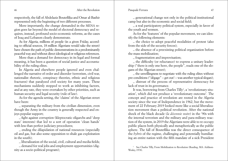### 46 After the Revolution Pasquale Ferrara and the Several After the Revolution Pasquale Ferrara 47

respectively, the fall of Abdelaziz Bouteflika and Omar al-Bashir represented only the beginning of two different processes.

More importantly, the change demanded in the MENA region goes far beyond the model of electoral democracy and requires, instead, profound socio-economic reforms, as the cases of Iraq and Lebanon clearly demonstrate.

As for Algeria, millions of people (in a given Friday, according to official sources, 18 million Algerians would take the street) have chosen the path of public demonstrations in a predominantly peaceful way and without direct ideological or religious references.

More than a demand for democracy in its legal and formal meaning, it has been a question of social justice and accountability of the ruling elites.

In Algeria and elsewhere people ignored and even challenged the narrative of order and disorder (terrorism, civil war, nationalist rhetoric, conspiracy theories, ethnic and religious fractures) that paralyzed civil society for many years. These mechanisms suddenly stopped to work as inhibiting factors, and at any rate, they were overtaken by other priorities, such as human security and legal security (rule of law).

As for the agenda setting, the 'claims' of the Algerian street have been:

\_ separating the military from the civilian dimension, even though the Army in the country is generally respected and enjoys popular support;

\_ fight against corruption (kleptocratic oligarchs and 'deep state' interests) that led to a sort of operation 'clean hands' with less than perfect judiciary procedures;

\_ ending the dilapidation of national resources (especially oil and gas, but also some opposition to shale gas exploitation in the south);

\_ liberalization of the social, civil, cultural and media fields;

\_ demand for real jobs and employment opportunities (dignity as a socio-political program);

\_ generational change not only in the political-institutional camp but also in the economic and social field;

\_ a real participatory political system, especially in favor of the youth and women.

As for the 'features' of the popular movement, we can identify the following elements:

\_ the choice to adopt peaceful modalities of protest (also from the side of the security forces);

\_ the absence of a preexisting political organization before the mass mobilization;

\_ fragmentation and improvisation;

\_ the difficulty (or reluctance) to express a unitary leadership ("there is only one hero, the people", reads one of the slogans of the Algerian street);

\_ the unwillingness to negotiate with the ruling elites without pre-conditions ("dégage" – get out! – was another typical slogan);

\_ distrust of the process of representative democracy for lack of trust in its governance.

It was, borrowing from Charles Tilly<sup>1</sup>, a 'revolutionary situation', which did not produce a 'revolutionary outcome'*.* The concept and practice of revolution are rooted in the Algeria society since the war of Independence in 1962, but the movement of 22 February 2019 looked more like a social liberalization movement than a political revolution. After the national shock of the black decade (*la décennie noire*) in the '90s with the internal terrorism and the military and para-military reaction of the system, in 2019 the Algerians were able to re-occupy public places both physically and metaphorically as the public sphere. The fall of Bouteflika was the direct consequence of the *hybris* of the regime, challenging and potentially humiliating an entire nation with the fifth mandate of a sick President

<sup>1</sup> See Charles Tilly, From Mobilization to Revolution (Reading, MA: Addison-Wesley, 1978).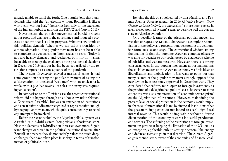### Pasquale Ferrara

already unable to fulfill the forth. One popular joke that I particularly like said the "an election without Bouteflika is like a world cup without Italy" (referring ironically to the exclusion of the Italian football team from the FIFA World Cup in 2018).

Nevertheless, the popular movement (al-Hirak) brought about profound changes in the governance and induced a process of reform that is still in progress. Whatever we think of this political dynamic (whether we can call it a transition or a mere adaptation), the popular movement has not been able to complete its own transition 'from streets to seats'. Today it appears heavily damaged and weakened both for not having been able to take up the challenge of the presidential elections in December 2019, and for having been jeopardized by the restrictions imposed as a consequence of the pandemic.

The system (*le pouvoir*) played a masterful game. It had some ground in accusing the popular movement of asking for a 'designation' of unelected 'wise men' with an unclear task, while, with a peculiar reversal of roles, the Army was requesting an 'election'.

In comparison to the Tunisian case, the recent constitutional reform did not happen through an ad hoc convention (National Constituent Assembly), but was an emanation of institutions and consultative bodies not recognized as representative enough by the popular movement, which, quite contradictorily, rejected any attempt to be involved.

Before the recent evolution, the Algerian political system was classified as a hybrid system (competitive authoritarianism?). Now the elements of hybridization increased even more. Significant changes occurred in the political-institutional system after Bouteflika; however, they do not entirely reflect the much deeper changes that have taken place in society in terms of transformation of political culture.

Echoing the title of a book edited by Luis Martinez and Rasmus Alenius Boserup already in 2016 (*Algeria Modern: From Opacity to Complexity2* ), the expression "a more open society in a less closed political system" seems to describe well the current state of Algerian evolution.

One peculiar feature of the Algerian popular movement was that of requesting systemic changes and a complete refoundation of the policy as a precondition, postponing the economic reforms to a second stage. The conventional wisdom among the analysts is that the outgoing Algerian complex oligarchy was able for decades to buy social peace by a generous scheme of subsidies and welfare measures. However, there is a strong consensus even in the popular movement about maintaining the social character of the Algerian economy vis-à-vis ideas of liberalization and globalization. I just want to point out that many sectors of the popular movement strongly opposed the new law on hydrocarbons, approved in December 2019. They considered that reform, more open to foreign investments, as the product of a delegitimized political class; however, to some extent this was also a manifestation of 'economic sovereignism' on the Algerian natural resources. However, maintaining the present level of social protection in the economy would imply, in absence of international loans by financial institutions (that the present ruling parties do not intend to seek), high fiscal internal revenue. This would be impossible without a drastic diversification of the economy towards industrial production and services. The softening of the restrictions to foreign investments (in particular keeping the limitation of the 49/51 rule as an exception, applicable only to strategic sectors, like energy and defense) seems to go in that direction. The current Algerian governance is very aware of the economic and financial chal-

<sup>2</sup> See Luis Martinez and Rasmus Alenius Boserup (eds.), *Algeria Modern: From Opacity to Complexit*y (London: Hurst Publishers, 2016).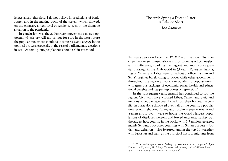<span id="page-25-0"></span>lenges ahead; therefore, I do not believe in predictions of bankruptcy and in the melting down of the system, which showed, on the contrary, a high level of resilience even in the dramatic situation of the pandemic.

In conclusion, was the 22 February movement a missed opportunity? History will tell us, but for sure in the near future the popular movement should take some risks and engage in the political process, especially in the case of parliamentary elections in 2021. At some point, peoplehood should rejoin statehood.

# The Arab Spring a Decade Later: A Balance Sheet  *Lisa Anderson*

Ten years ago – on December 17, 2010 – a small-town Tunisian street vendor set himself ablaze in frustration at official neglect and indifference, sparking the biggest and most consequential uprisings in the Arab world in 75 years. Rulers in Tunisia, Egypt, Yemen and Libya were turned out of office; Bahrain and Syria's regimes barely clung to power while other governments throughout the region anxiously responded to popular unrest with generous packages of economic, social, health and educational benefits and stepped-up domestic repression.<sup>1</sup>

In the subsequent years, turmoil has continued to roil the region. Civil wars have wracked Libya, Yemen and Syria and millions of people have been forced from their homes: the conflict in Syria alone displaced over half of the country's population. Soon, Lebanon, Turkey and Jordan – even war-wracked Yemen and Libya – were to house the world's largest populations of displaced persons and forced migrants. Turkey was the largest host country in the world, with 3.7 million refugees, mainly Syrians. Two other countries with Syrian borders – Jordan and Lebanon – also featured among the top 10, together with Pakistan and Iran, as the principal hosts of migrants from

<sup>&</sup>lt;sup>1</sup> "The Saudi response to the 'Arab spring': containment and co-option", Open Democracy, 10 January 2010. [https://www.opendemocracy.net/en/5050/saudi-re](https://www.opendemocracy.net/en/5050/saudi-response-to-arab-spring-containment-and-co-option/)[sponse-to-arab-spring-containment-and-co-option/](https://www.opendemocracy.net/en/5050/saudi-response-to-arab-spring-containment-and-co-option/)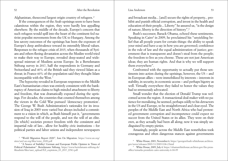### 52 After the Revolution Lisa Anderson Essay, 2006, 2014, 2016, 2017, 2018, 2019, 2017, 2018, 2019, 2017, 2018, 20

Afghanistan, thesecond largest origin country of refugees. <sup>2</sup>

If the consequences of the Arab uprisings seem to have been calamitous within the region, they were hardly less appalling elsewhere. By the middle of the decade, Europe's concern that such refugees would spill into the heart of the continent fed nativist populist movements from the UK to Hungary. Among the less savory outcomes of the uprisings has been the exposure of Europe's deep ambivalence toward its ostensibly liberal values. Responses to the refugee crisis of 2015, when thousands of Syrians and others fleeing devastation across the Muslim world tried to make their way to Europe, revealed deep-seated and widespread mistrust of Muslims across Europe. In a Bertelsmann Stiftung survey in 2017, half the respondents in Germany and Switzerland and 40% of the British said they viewed Islam as a threat; in France 60% of the population said they thought Islam incompatible with the West. <sup>3</sup>

The hypocrisy revealed in European responses to the Middle East's humanitarian crises was entirely consistent with the bankruptcy of American claims to high-minded attachment to liberty and freedom, that was dramatically exposed during the uprisings. For decades, the countries that counted themselves among the victors in the Cold War pursued 'democracy promotion'. The George W. Bush Administration's rationales for its invasion of Iraq in 2003 were varied but always included a commitment to a vision in which, as Bush himself put it, "governments respond to the will of the people, and not the will of an elite. [In which] societies protect freedom with the consistent and impartial rule of law... allow for healthy civic institutions – for political parties and labor unions and independent newspapers

and broadcast media... [and] secure the rights of property... prohibit and punish official corruption, and invest in the health and education of their people... Liberty" he assured us, "is the design of nature, liberty is the direction of history".4

Bush's successor, Barack Obama, echoed these sentiments. Speaking in Cairo<sup>5</sup> in 2009, he proclaimed his "unyielding belief that all people yearn for certain things: the ability to speak your mind and have a say in how you are governed; confidence in the rule of law and the equal administration of justice; government that is transparent and doesn't steal from the people; the freedom to live as you choose. These are not just American ideas; they are human rights. And that is why we will support them everywhere".

Confronted with the opportunity to actually put those sentiments into action during the uprisings, however, the US – and its European allies – were immobilized by interests – interests in stability, in security, in economic access – and perhaps bigotry as well. Virtually everywhere they failed to honor the values they had so strenuously advocated.

Small wonder that the election of Donald Trump was welcomed across the region. A transactional deal-maker with no patience for moralizing, he seemed, perhaps oddly to his detractors in the US and Europe, to be straightforward and clear-eyed. The peoples of the Middle East and North Africa who had protested government corruption and incompetence could expect no succor from the United States or its allies. They were on their own, as they actually had been all along; now it was simply undisguised by empty pieties.

Amazingly, people across the Middle East nonetheless took courageous and often dangerous stances against governments

<sup>2</sup> "World Migration Report 2020", Iom On Migration. [https://www.un.org/](https://www.un.org/sites/un2.un.org/files/wmr_2020.pdf) [sites/un2.un.org/files/wmr\\_2020.pdf](https://www.un.org/sites/un2.un.org/files/wmr_2020.pdf)

<sup>&</sup>lt;sup>3</sup> "A Source of Stability? German and European Public Opinion in Times of Political Polarisation". Bertelsmann Stiftung, [https://www.bertelsmann-stiftung.de/](https://www.bertelsmann-stiftung.de/fileadmin/files/user_upload/EZ_eupinions_03_2017_ENG.pdf) [fileadmin/files/user\\_upload/EZ\\_eupinions\\_03\\_2017\\_ENG.pdf](https://www.bertelsmann-stiftung.de/fileadmin/files/user_upload/EZ_eupinions_03_2017_ENG.pdf)

<sup>4</sup> White House, 2003, November 6. [https://georgewbush-whitehouse.archives.](https://georgewbush-whitehouse.archives.gov/news/releases/2003/11/20031106-2.html) [gov/news/releases/2003/11/20031106-2.html](https://georgewbush-whitehouse.archives.gov/news/releases/2003/11/20031106-2.html)

<sup>5</sup> White House, 2009, July 4. [https://obamawhitehouse.archives.gov/the-press](https://obamawhitehouse.archives.gov/the-press-office/remarks-president-cairo-university-6-04-09)[office/remarks-president-cairo-university-6-04-09](https://obamawhitehouse.archives.gov/the-press-office/remarks-president-cairo-university-6-04-09)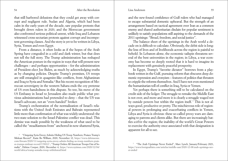that still harbored delusions that they could get away with corrupt and negligent rule. Sudan and Algeria, which had been calm in the early years of the decade, saw popular protests that brought down rulers in 2020, and the Moroccan government also confronted serious political unrest, while Iraq and Lebanon witnessed cross-sectarian protests against corrupt and incompetent governing classes. And the story is yet to be written in Libya, Syria, Yemen and even Egypt.

From a distance, it often looks as if the hopes of the Arab Spring have congealed in a cold and dark winter, but that does not tell the full story. The Trump administration has reshaped the American posture in the region in ways that will present new challenges – and perhaps opportunities – for the administration of President-elect Joe Biden, as much by acknowledging truths as by changing policies. Despite Trump's promises, US troops are still entangled in quagmire-like conflicts, from Afghanistan and Iraq to Syria and Somalia.6 But his recent recognition of Moroccan sovereignty in the western Sahara ends the coy pretense of US even-handedness in this dispute. So too, his move of the US Embassy in Israel to Jerusalem also made public what previous administrations had pretended to deny – that the US was Israel's advocate, not an "even-handed" broker.

Trump's orchestration of the normalization of Israel's relations with the United Arab Emirates and Bahrain represented little more than confirmation of what was widely understood: the two-state solution to the Israel-Palestine conflict was dead. This demise was made possible by the weakness of what used to be called the "steadfastness front" anchored in now-shattered Syria,

and the new-found confidence of Gulf rulers who had managed to escape substantial domestic upheaval. But the strength of an arrangement based on tactical agreement over Iran as a common enemy and shared authoritarian disdain for popular sentiment is unlikely to satisfy populations still aspiring to the demands of the 2011 uprisings: "Bread, freedom, and social justice".

The balance sheet of the uprisings in the Arab world a decade on is difficult to calculate. Obviously, the debit side is long: the loss of lives and of livelihoods across the region is painful to behold. In Lebanon alone, the economic tailspin threatens several of the best universities in the region; in Libya, a war economy has become so deeply rooted that it is hard to imagine its replacement with genuinely peaceful prosperity.

In Egypt, Trump's "favorite dictator" borrows from a playbook written in the Gulf, pursuing reform that obscures deep domestic repression and cronyism – features of politics that threaten to cripple the reforms themselves. And I have not even mentioned the humanitarian toll of conflict in Iraq, Syria or Yemen.

Yet perhaps there is something still to be calculated on the credit side of the ledger. The struggle to remake the Middle East is not over, and more and more it is clearly a struggle waged not by outside powers but within the region itself.<sup>7</sup> This is not always good, productive or pretty. The mischievous role of regional powers in prolonging and exacerbating conflicts in Yemen, Libya and Syria is obvious: these so-called proxy wars are damaging to patrons and clients alike. But there are increasingly battles *within* the region; the inability of the world's Great Powers to exercise the authority once associated with that designation is apparent for all to see.

<sup>6</sup> "Outgoing Syria Envoy Admits Hiding US Troop Numbers; Praises Trump's Mideast Record", Katie Bo William, 2020, November 12, [https://www.defenseone.](https://www.defenseone.com/threats/2020/11/outgoing-syria-envoy-admits-hiding-us-troop-numbers-praises-trumps-mideast-record/170012/) [com/threats/2020/11/outgoing-syria-envoy-admits-hiding-us-troop-numbers-prais](https://www.defenseone.com/threats/2020/11/outgoing-syria-envoy-admits-hiding-us-troop-numbers-praises-trumps-mideast-record/170012/)[es-trumps-mideast-record/170012/](https://www.defenseone.com/threats/2020/11/outgoing-syria-envoy-admits-hiding-us-troop-numbers-praises-trumps-mideast-record/170012/) ; "Trump Orders All American Troops Out of Somalia", Helene Cooper, 2020, December 4, [https://www.nytimes.com/2020/12/04/](https://www.nytimes.com/2020/12/04/world/africa/trump-somalia-troop-withdrawal.html) [world/africa/trump-somalia-troop-withdrawal.html](https://www.nytimes.com/2020/12/04/world/africa/trump-somalia-troop-withdrawal.html)

<sup>&</sup>lt;sup>7</sup> "The Arab Uprisings Never Ended", Marc Lynch, January/February 2021, [https://www.foreignaffairs.com/articles/middle-east/2020-12-08/arab-uprisings-nev](https://www.foreignaffairs.com/articles/middle-east/2020-12-08/arab-uprisings-never-ended)[er-ended](https://www.foreignaffairs.com/articles/middle-east/2020-12-08/arab-uprisings-never-ended)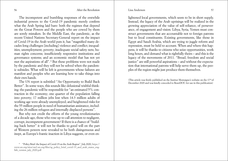The incompetent and bumbling responses of the erstwhile industrial powers to the Covid-19 pandemic merely confirm what the Arab Spring laid bare: both the regimes that depend on the Great Powers and the people who are cowed by them are sorely mistaken. In the Middle East, the pandemic, as the recent United Nations Secretary-General report on the impact of Covid-19 in the Arab world puts it, has "magnified many decades-long challenges [including] violence and conflict; inequalities; unemployment; poverty; inadequate social safety nets; human rights concerns; insufficiently responsive institutions and governance systems; and an economic model that has not yet met the aspirations of all". <sup>8</sup> But these problems were not made by the pandemic and they will not be solved when the pandemic subsides. What will be left is governments whose failures are manifest and peoples who are learning how to take things into their own hands.

The UN report is subtitled "An Opportunity to Build Back Better". In some ways, this sounds like delusional wishful thinking: the pandemic will be responsible for "an estimated 5% contraction in the economy; one quarter of the population falling into poverty; 17 million jobs lost when 14.3 million adults of working age were already unemployed; and heightened risks for the 55 million people in need of humanitarian assistance, including the 26 million refugees and internally displaced persons".

But why not credit the efforts of the young revolutionaries of a decade ago, those who rose up to call attention to negligent, corrupt, incompetent government? If there is a chance of "building back better" it will not be thanks to good will on the part of Western powers now revealed to be both disingenuous and inept, as Europe's frantic inaction in Libya suggests, or even enlightened local governments, which seem to be in short supply. Instead, the legacy of the Arab uprisings will be realized in the growing appreciation of the value of self-reliance, of perseverance, of engagement and vision. Libya, Syria, Yemen must construct governments that are accountable not to foreign patrons but to local constituents. Existing governments, like those in Egypt and Saudi Arabia, which are trying to juggle reform and repression, must be held to account. When and where this happens, it will be thanks to citizens who seize opportunities, work long hours, and demand what is rightfully theirs – and this is the legacy of the movements of 2011. "Bread, freedom and social justice" are still powerful aspirations – and without the expectation that international patrons will help serve them up, the peoples of the region might just produce them themselves.

(This article was firstly published on the Institut Montaigne's website on the  $17<sup>th</sup>$  of December 2020 and was kindly conceded to ResetDOC for use in this publication)

<sup>8</sup> "Policy Brief: the Impact of Covid-19 on the Arab Region", July 2020, [https://](https://www.un.org/sites/un2.un.org/files/sg_policy_brief_covid-19_and_arab_states_english_version_july_2020.pdf) [www.un.org/sites/un2.un.org/files/sg\\_policy\\_brief\\_covid-19\\_and\\_arab\\_states\\_eng](https://www.un.org/sites/un2.un.org/files/sg_policy_brief_covid-19_and_arab_states_english_version_july_2020.pdf)[lish\\_version\\_july\\_2020.pdf](https://www.un.org/sites/un2.un.org/files/sg_policy_brief_covid-19_and_arab_states_english_version_july_2020.pdf)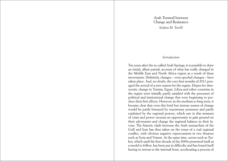Arab Turmoil between Change and Resistance *Stefano M. Torelli*

# *Introduction*

<span id="page-29-0"></span>Ten years after the so-called Arab Springs, it is possible to draw an initial, albeit partial, account of what has really changed in the Middle East and North Africa region as a result of these movements. Definitely, changes – even epochal changes – have taken place. And, no doubt, the very first months of 2011 presaged the arrival of a new season for the region. Hopes for democratic change in Tunisia, Egypt, Libya and other countries in the region were initially partly satisfied with the processes of political and institutional change that were beginning to produce their first effects. However, in the medium to long term, it became clear that even this brief but intense season of change would be partly betrayed by reactionary pressures and partly exploited by the regional powers, which saw in this moment of crisis and power vacuum an opportunity to gain ground on their adversaries and change the regional balance in their favour. The historic clash between the Arab monarchies of the Gulf and Iran has thus taken on the tones of a real regional conflict, with obvious negative repercussions in two theatres such as Syria and Yemen. At the same time, actors such as Turkey, which until the first decade of the 2000s presented itself as a model to follow, has been put in difficulty and has found itself having to retreat to the internal front, accelerating a process of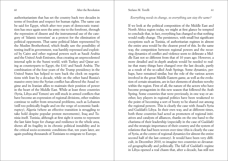### 60 After the Revolution Stefano M. Torelli 61 After the Revolution 61

authoritarianism that has set the country back two decades in terms of freedom and respect for human rights. The same can be said for Egypt, which after two years of democratic transition has once again seen the army rise to the forefront, through the repression of dissent and the instrumental use of the category of 'Islamic terrorism' as a pretext for the elimination of political opponents. That same political Islam represented by the Muslim Brotherhood, which finally saw the possibility of testing itself in government, was harshly repressed and exploited by Cairo and other regional powers such as Saudi Arabia and the United Arab Emirates, thus creating an unprecedented internal split in the Sunni world, with Turkey and Qatar acting as counterparts to Egypt, the EAU and Saudi Arabia. The combination of the four years of the Trump presidency in the United States has helped to turn back the clock on negotiations with Iran by a decade, while on the other hand Russia's massive entry into the Syrian conflict has allowed the Assad regime and its Iranian allies to maintain their position of power in the heart of the Middle East. While at least three countries (Syria, Libya and Yemen) are still stuck in armed conflicts that have become an expression of regional divisions, other realities continue to suffer from structural problems, such as Lebanon (still too politically fragile and on the verge of economic bankruptcy), Algeria (where an effective transition is struggling to take hold despite popular protest movements), Iraq and Tunisia itself. Tunisia, although at first sight it seems to represent the last faint hope for change and resilience in the whole area, shows all its fragility in its chronic political instability and in the critical socio-economic conditions that, ten years later, are again pushing thousands of Tunisians to emigrate to Europe.

# *Everything needs to change, so everything can stay the same?*

If we look at the political composition of the Middle East and North Africa region today, we might at first glance be tempted to conclude that, in fact, everything has changed so that nothing would really change. The persistence, with small but significant exceptions such as Tunisia, of authoritarian regimes in almost the entire area would be the clearest proof of this. In the same way, the competition between regional powers and the recurring dynamics of conflict and violence seem to delineate a Middle East not so different from that of 10 years ago. However, a more detailed and in-depth analysis would be needed to realise that many things have changed over the last decade, partly as a result of the so-called Arab Springs. Some dynamics, perhaps, have remained similar, but the role of the various actors involved in the great Middle Eastern game, as well as the evolution of certain situations, are in fact elements of absolute novelty within the region. First of all, the nature of the actors who have become protagonists in this new season that followed the Arab Spring. Some countries that were previously, in one way or another, key players in regional politics have been weakened to the point of becoming a sort of booty to be shared out among the regional powers. This is clearly the case with Assad's Syria and Gaddafi's Libya. In their own way, and at different times, both these countries had acted as promoters of regional initiatives and catalysts of alliances, thanks on the one hand to the charisma of their leadership (especially in the case of Gaddafi) and the strategic importance of their country and the system of relations that had been woven over time (this is clearly the case of Syria, at the centre of regional dynamics for almost the entire second half of the last century). It would have been very difficult, in December 2010, to imagine two countries so devastated geographically and politically. The fall of Gaddafi's regime in Libya opened a real chasm that, after a decade, has still not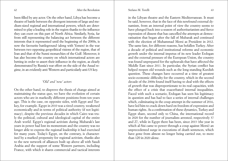### Stefano M. Torelli

been filled by any actor. On the other hand, Libya has become a theatre of battle between the divergent interests of large and medium-sized regional and international powers, which are determined to play a leading role in the region thanks to the influence they can exert on this part of North Africa. Similarly, Syria, far from still representing the balancing act between the different interests that it represented until the beginning of the 2000s, is now the favourite battleground (along with Yemen) in the war between two opposing geopolitical visions of the region, that of Iran and that of the Sunni monarchies of the Gulf. Moreover, it has also become the country on which international actors are betting in order to assert their influence in the region, as clearly demonstrated by Russia's war effort on the side of the Assad regime, in an evidently anti-Western and particularly anti-US key.

# *'Old' and 'new' actors*

On the other hand, to disprove the thesis of change aimed at maintaining the status quo, we have the evolution of certain actors who are in markedly different positions from ten years ago. This is the case, on opposite sides, with Egypt and Turkey, for example. Egypt in 2010 was a tired country, weakened economically and in terms of political authority (if not legitimacy), despite the previous decades in which Cairo was truly the political, cultural and ideological capital of the entire Arab world. Egypt's regional activism during Mubarak's last years in power had lost its momentum and the country was no longer able to express the regional leadership it had exercised for many years. Today's Egypt, on the contrary, is characterised by a marked propensity for regional activism, thanks also to the new network of alliances built up above all with Saudi Arabia and the support of some Western partners, including France, with which it shares commercial and tactical interests

in the Libyan theatre and the Eastern Mediterranean. It must be said, however, that in the face of this newfound external dynamism, from an internal point of view the country seems to have plunged back into a season of authoritarianism and fierce repression of dissent that has cancelled the attempts at democratisation that began after the fall of Mubarak and continued with the election of Muhammad Morsi as President in 2012. The same fate, for different reasons, has befallen Turkey. After a decade of political and institutional reforms and economic growth under the internal impetus of its new leader Erdogan and the external pressure of the European Union, the country was found unprepared for the upheavals that have affected the Middle East since 2011. In particular, the Syrian conflict has helped reopen old wounds such as the long-standing Kurdish question. These changes have occurred at a time of greatest socio-economic difficulty for the country, which in the second decade of the 2000s found itself having to deal with the effects of growth that was disproportionate to its real capacities, with the effect of a crisis that exacerbated internal inequalities. Faced with such a scenario, Erdogan has seen his legitimacy in question and has had to face a series of internal challenges which, culminating in the coup attempt in the summer of 2016, have led him to crack down hard on freedom of expression and human rights. As a confirmation of these dynamics, Turkey and Egypt share, second only to China, the international record in 2020 for the number of journalists arrested, respectively 37 and 27, while in Egypt there has been, since 2013 (the year in which al-Sisi came to power through a coup against Morsi) an unprecedented surge in executions of death sentences, which have gone from almost no longer being carried out, to more than 120 in 2020 alone.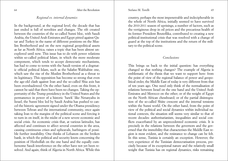### Stefano M. Torelli

64 After the Revolution Stefano M. Torelli Service Communication 65

# *Regional vs. internal dynamics*

In the background, at the regional level, the decade that has just ended is full of novelties and changes. The rift created between the countries of the so-called Sunni bloc, with Saudi Arabia, the United Arab Emirates and Egypt pitted against Qatar and Turkey in the name of different positions on the Muslim Brotherhood and on the new regional geopolitical assets as far as North Africa, raises a topic that has been almost unexplored until now. This issue has to do with power relations within so-called political Islam, in which the more moderate component, which tends to accept democratic mechanisms, has had to come to terms with the Saudi version of a dogmatic official political Islam, such as the Salafist-Wahhabist one, which saw the rise of the Muslim Brotherhood as a threat to its legitimacy. This opposition has become so strong that even the age-old clash against Iran and the so-called Shia axis has been overshadowed. On the other hand, even on this front, it cannot be said that there have been no changes. Taking the opportunity of the Trump presidency in the United States and the permanence in power of a historic 'hawk' like Netanyahu in Israel, the Sunni bloc led by Saudi Arabia has pushed to cancel the historic agreement signed under the Obama presidency between Tehran and the international community, once again taking Iran to the margins of the political scene and forcing it to turn in on itself, in the midst of a new severe economic and social crisis. An economic crisis that, at various latitudes, has affected and continues to affect several countries in the area, causing continuous crises and upheavals, harbingers of possible further instability. One thinks of Lebanon on the broken bank, in which the political and security knots concerning the position of Hezbollah on the one hand and the equally cumbersome Saudi interference on the other have not yet been resolved. And again, think of Algeria in North Africa. While this

country, perhaps the most impenetrable and indecipherable in the whole of North Africa, initially seemed to have survived the 2010-2011 season of uprisings, a number of factors, such as the vertiginous drop in oil prices and the precarious health of its former President Bouteflika, contributed to creating a new political-institutional crisis that was resolved with a change of guard at the top of the institutions and the return of the military to the political scene.

# *Conclusions*

This brings us back to the initial question: has everything changed so that nothing changes? The example of Algeria is emblematic of the thesis that we want to support here: from the point of view of the regional balance of power and geopolitical order, the Middle East of today is very different from that of ten years ago. One need only think of the normalisation of relations between Israel on the one hand and the United Arab Emirates and Morocco on the other; or of the weight of Egypt on the North African chessboard; or of the partial disintegration of the so-called Shiite crescent and the internal tensions within the Sunni world. On the other hand, from the point of view of the political and social dynamics within individual national contexts, the situation still seems very similar to that of recent decades: authoritarianism, inequalities and social conflicts exacerbated by an unprecedented economic crisis. It is precisely in the relations between the governors and the governed that the immobility that characterises the Middle East region is most evident, and the resistance to change can be felt. In this sense, Tunisia is certainly an exception. However, the very experience of the Tunisian democratisation process, precisely because of its exceptional nature and the relatively small weight that Tunisia has on regional dynamics, risks remaining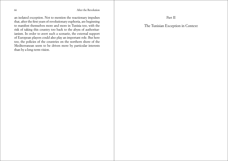<span id="page-33-0"></span>an isolated exception. Not to mention the reactionary impulses that, after the first years of revolutionary euphoria, are beginning to manifest themselves more and more in Tunisia too, with the risk of taking this country too back to the abyss of authoritar ianism. In order to avert such a scenario, the external support of European players could also play an important role. But here too, the policies of the countries on the northern shore of the Mediterranean seem to be driven more by particular interests than by a long-term vision.

Part II

The Tunisian Exception in Context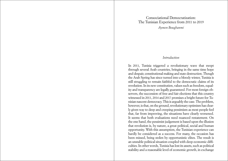<span id="page-34-0"></span>Consociational Democratization: The Tunisian Experience from 2011 to 2019 *Aymen Boughanmi* 

# *Introduction*

In 2011, Tunisia triggered a revolutionary wave that swept through several Arab countries, bringing in the same time hope and despair, constitutional making and state destruction. Though the Arab Spring has since turned into a bloody winter, Tunisia is still struggling to remain faithful to the democratic claims of its revolution. In its new constitution, values such as freedom, equality and transparency are legally guaranteed. For most foreign observers, the succession of free and fair elections that this country witnessed in 2011, 2014 and 2017 promises a bright future for Tunisian nascent democracy. This is arguably the case. The problem, however, is that, on the ground, revolutionary optimism has clearly given way to deep and creeping pessimism as most people feel that, far from improving, the situations have clearly worsened. It seems that both evaluations need nuanced restatement. On the one hand, the pessimist judgement is based upon the illusion that revolution is, by nature, a great political, social and human opportunity. With this assumption, the Tunisian experience can hardly be considered as a success. For many, the occasion has been missed, being stolen by opportunistic elites. The result is an unstable political situation coupled with deep economic difficulties. In other words, Tunisia has lost its assets, such as political stability and a reasonable level of economic growth, in exchange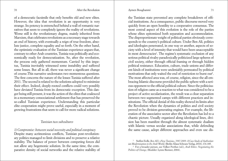### 70 **After the Revolution** Aymen Boughanmi 71

of a democratic facsimile that only benefits old and new elites. However, the idea that revolution is an opportunity is very strange. Its potency is entrenched behind a wall of romantic narratives that seem to completely ignore the reality of revolutions. Worse still is the revolutionary dogma, mainly inherited from Marxism, that celebrates revolutions as a necessary stage towards an end of history, with eventually a reign of true freedom, absolute justice, complete equality and so forth. On the other hand, the optimistic evaluation of the Tunisian experience argues that, contrary to other Arab countries, Tunisia was politically and economically ready for democratization. So, after the revolution, the process only gathered momentum. Carried by this impetus, Tunisia inevitably witnessed some instability and suffered some losses. But all in all, there was never a significant change of course.This narrative understates two momentous questions. The first concerns the nature of the losses Tunisia suffered after 2011. The second is related to the solutions adopted to minimize their effect. Indeed, deeply-rooted conflicts could very possibly have deviated Tunisia from its democratic exception. This danger being still present, it was the action of the elites that coalesced in a momentary consociational settlement that has preserved the so-called Tunisian experience. Understanding this particular elite cooperation might prove useful, especially in a moment of growing frustrations that seem to call for more radical solutions.

# *Tunisian two subcultures*

*1) Compromise: between social necessity and political conspiracy* Despite many acrimonious conflicts, Tunisian post-revolutionary politics managed to limit divisions and to preserve a relative stability. The balance of power between competing forces did not allow any hegemonic solution. In the same time, the comparative density of social networks and the relative stability of

the Tunisian state prevented any complete breakdown of official institutions. As a consequence, public discourse moved very quickly from an open hostility to a cooperative consensus. The most central aspect of this evolution is the role of the parties whose elites epitomized both separation and accommodation. The disproportionate weight of political parties obviously corresponds to the country's political culture. Under Ben Ali, politics and ideologies penetrated, in one way or another, aspects of society with a level of intensity that would have been unacceptable in most democracies<sup>1</sup>. The regime's systematic exclusion of any serious political rivalry paradoxically politicized large spheres of civil society, either through official framing or through hidden political resistance. Education, culture, trade unions and different kinds of institutions were undeniably permeated by political motivations that only waited the end of restriction to burst out<sup>2</sup>. The most affected area was, of course, religion, since the all-embracing Islamic discourse provided the public sphere with a serious opponent to the official political culture. Since the politicization of religion came as a reaction to what was considered to be a project of active secularization, the result was a clear separation between two segmented camps with different practices and institutions. The official denial of this reality showed its limits after the Revolution when the dynamics of politics and civil society proved to be division-generating engines. For example, the liberation of the associative sector after the Revolution has led to a chaotic picture. Usually organized along ideological lines, division has been manifest through the almost systematic dualism with Islamic versus secular associations that, while defending the same cause, adopt different approaches and even use dis-

<sup>1</sup> Steffen Erdle, *Ben Ali's «New Tunisia», 1987-2009: A Case Study of Authoritarian Modernization in the Arab World*, (Berlin: Klaus Schwarz Verlag, 2010), 176-185.

<sup>2</sup> For a broader picture, see Volker Perthes (ed.), *Arab Elites: Negotiating the Politics of Change*, (Boulder: Lynne Rienner, 2004).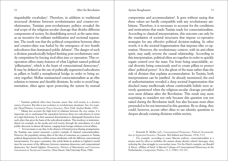tinguishable vocabulary<sup>3</sup>. Therefore, in addition to traditional structural divisions between revolutionaries and counter-revolutionaries, Tunisian post-revolutionary politics revealed the real scope of the religious-secular cleavage that divides different components of society. Its destabilizing served, at the same time, as an incentive for militant mobilization and sectional separatism. The result was that the political competition between elites and counter-elites was fueled by the emergence of two hostile subcultures that dominated public debates<sup>4</sup>. The danger of such a division paradoxically helped limiting post-revolutionary untidy competition by forcing rival elites into co-operation. This cooperation offers many features of what Lijphart named political 'pillarization', which is the heart of consociational democracy<sup>5</sup>. It may be defined as the use of politically segmented subcultures as pillars to build a metaphorical bridge in order to bring society together. McRae summarized consociationalism as an elite solution to intense and durable divisions. In order to avoid fragmentation, elites agree upon protecting the system by mutual

<sup>3</sup> Tunisian political elites have become aware that civil society is a decisive source of power. But this is not exclusive to revolutionary situations. See, for example, Floyd Hunter, *Community Power Structure*, (New York: Anchor Books, 1953).

<sup>4</sup> Taking into account the high level of relations between the two camps, it is important not to understand the separation between these two subcultures in terms of a rigid dichotomy. It is their assumed determination to distinguish themselves from each other that gives the basis of the subcultural analysis. This tendency is institutionalized, for example, in the media and civil society through the articulation of a dual public discourse in almost all matters, ranging from foreign relations to local affairs.

 $5$  It is necessary to say that, in the absence of formal power-sharing arrangements, the Tunisian case cannot represent a perfect example of classical consociationalism. However, the popularity among elites of the idea of consensus as a panacea to Tunisia political disagreements does exhibit serious similarities with the different consociational interpretations. For space constraints, this article limits its analysis to Lijphart's model since he was aware of the difference between consensus democracy and consociational democracy. See Arend Lijphart, *Democracies: Patterns of Majoritarian and Consensus Government in Twenty-one Countries*, (New Haven: Yale University Press, 1984).

compromise and accommodation<sup>6</sup>. It goes without saying that these values are hardly compatible with any revolutionary ambitions. Therefore, it is necessary to account for the conditions and motivations that made Tunisia ready for consociationalism. According to classical interpretations, this outcome can only be the translation of societal structures that impose co-operative strategies for any effective political decision-making. In other words, it is the societal fragmentation that imposes elite co-operation. However, the revolutionary context, with its anti-elitist spirit, may easily reverse the causal relationship. According to this interpretation, political elites act together in order to quickly regain control over the mass. Far from being unavoidable, social diversity being consciously used to create pillars to protect elites' political power<sup>7</sup>. It is the ghost of the mass rather than the risk of division that explains accommodation. In Tunisia, both interpretations can be justified. As already mentioned, the end of authoritarianism revealed a deep societal fragmentation that shocked many intellectuals whose comfortable beliefs were severely questioned when the religious-secular cleavage prevailed over most debates after the Revolution. This result may seem surprising to outsiders not only because this question was not raised during the Revolution itself, but also because most elites pretended to be not interested in this question. By so doing, they could, however, accuse other elites to use identity questions to deepen already existing divisions within society.

<sup>6</sup> Kenneth D. McRae (ed.), *Consociational Democracy: Political Accommodation in Segmented Societies*, (Toronto: McClelland and Stewart, 1974), 5-13.

<sup>7</sup> For example, according to some Marxist authors, consociationalism is a means used by elites to mobilize the masses along identity-related cleavages, thus reducing the class struggle to a secondary issue. For the Dutch example, see Ronald A. Kieve, «Pillars of Sand: A Marxist Critique of Consociational Democracy in the Netherlands», *Comparative Politics*, 13, 3, (1981): 313-337.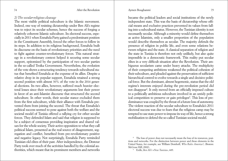# *2) The secular-religious cleavage*

The most visible political subculture is the Islamic movement. Indeed, one way of resisting dictatorship under Ben Ali's regime was to reject its secular schemes, hence the success of forging a relatively coherent Islamic subculture. Its electoral success, especially in 2011 when Ennahda Party gained a predominant position in the Constituent Assembly, forced the other forces to follow in its steps. In addition to its religious background, Ennahda built its discourse on the basis of revolutionary priorities and the need to fight against counter-revolutionary forces. This natural strategy in a revolutionary context helped it securing some secular support, epitomized by the participation of two secular parties in the so-called Troika Government. Nevertheless, the evolution of the vote shows a structuring tendency towards subcultural status that benefited Ennahda at the expense of its allies. Despite a relative drop in its popular support, Ennahda retained a strong second position with almost 30% of the vote in the 2014 general elections. Its two allies, however, suffered much heavier electoral losses since their revolutionary arguments lost their power in favor of an anti-Islamist discourse that structured the second subculture. In other words, their secular stance excluded them from the first subculture, while their alliance with Ennahda prevented them from joining the second. The threat that Ennahda's political success seemed to pose against both the welfare and the societal model of Tunisia offered a rallying cry for other secular forces. They defended Islam and said that religion is supposed to be a subject of consensus providing inspiration and shared values for the whole society. Their active opposition to what they call political Islam, presented as the real source of disagreement, segregation and conflict, benefited from pre-revolutionary positive and negative legacy. Not surprisingly, Ennahda Party reminded Tunisian old elites of their past. After independence, the Destour Party took over much of the activities handled by the colonial authorities, which meant that its prominent members and networks became the political leaders and social institutions of the newly independent state. This was the basis of dictatorship whose official means and exclusive practices prevented its values from falling into a subcultural status. However, the Tunisian identity is not necessarily secular. Although a minority would define themselves as active Islamists, only a smaller proportion of the population would describe themselves as secular. The majority defends the presence of religion in public life, and even some relations between religion and the state. A classical separation of religion and the state in Tunisia is therefore not only unlikely, but also quite impossible in a democratic framework. This reality put secular elites in a very difficult situation after the Revolution. Their ambiguous secularism came under heavy attacks. The multiplicity of their competing ambitions weakened the political cohesion of their subculture, and pleaded against the preservation of sufficient hierarchical control to evolve towards a single and decisive political force. But the dominant, almost hegemonic, status that the old regime's interests enjoyed during the pre-revolution period did not disappear<sup>8</sup>. It only moved from an officially imposed culture to a politically ambitious subculture involved in an untidy political competition to preserve or gain privileges<sup>9</sup>. This loss of predominance was coupled by the threat of a future loss of autonomy. The violent reaction of the secular subculture to Ennahda's 2011 electoral success was due to fears that the religious camp may be tempted to use state power to impose its way of life, hence a strong mobilization to defend the so-called Tunisian societal model.

<sup>&</sup>lt;sup>8</sup> The loss of power does not necessarily mean the loss of its resources, positions and networks. For the distinction between power and these elements in the United States, for example, see William Domhoff, *Who Rules America?*, (Boston: McGraw Hill, 2002).

<sup>9</sup> Erdle, *Ben Ali's «New Tunisia»*, 449.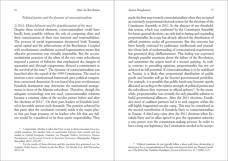### 76 **After the Revolution** Aymen Boughanmi 77

# *Political parties and the dynamic of consociationalism*

*1) 2011: Elitist behavior and the depoliticization of the mass* Despite these societal elements, consociationalism could have hardly been possible without the role of competing elites and their consciousness of their own interests and responsibilities. The process of social segmentation threatened both Tunisian social capital and the achievements of the Revolution. Coupled with revolutionary conditions, societal fragmentation meant that effective government was virtually impossible. But the accommodationist practices of the elites of the two main subcultures imposed a pattern of behavior that emphasized the dangers of separation and, through compromise, showed a commitment to the survival of the state<sup>10</sup>. The dynamic of consociationalism was launched after the repeal of the 1959 Constitution. The need to institute a new constitutional framework gave political competition a structural dimension. It was feared that post-revolutionary Ennahda domination may determine the institutional arrangements in favor of the Islamist subculture. Therefore, though the adequate terminology was not used, consociationalist relations became a constant claim of the secular parties before and after the elections of 2011<sup>11</sup>. On their part, leaders of Ennahda tended to favorably answer such demands. The position achieved by this party after the revolution certainly made it the major player, but put huge pressure on its leaders who felt that any failure would be considered to be their entire responsibility. They

made the first step towards consociationalism when they accepted an extremely proportional electoral system for the elections of the Constituent Assembly in 2011. In the absence of any threshold, this system, which was confirmed by the Constituent Assembly for future general elections, can only lead to lasting and expanding proportionality. Its scope has already affected the distribution of official positions under all governments. But this outcome has been heavily criticized by politicians, intellectuals and journalists whose lack of understanding of consociational requirements has generated deep disillusionment. This feeling was expressed through populist assertions about the failure of the Revolution, and sometimes the urgent need of a second uprising. In reality, contrary to prevailing opinions, proportionality has not yet achieved its full potential. If consociationalism is to be stabilized in Tunisia, it is likely that proportional distribution of public goods and benefits will go far beyond governmental portfolios. For example, it is possible that public funds may become openly allocated according to the relative strength of political parties and the subcultures they represent in official spheres<sup>12</sup>. In the meanwhile, proportionality was certainly the only plausible solution to build governmental alliances. After the 2011 elections, Ennahda's need of coalition partners led it to seek support within the still-highly-fragmented secular camp. This may be considered as the second contribution of Ennahda Party to consociationalism in Tunisia. A third step came after the 2011 elections when Ennahda Party and its allies agreed to give the opposition minority a veto power over the constitution-making process. In order to have a long-run legitimacy, the Constitution needed to be accept-

<sup>&</sup>lt;sup>10</sup> Compromise, whether it takes this form or not, is always necessary for a successful transition. For another style of compromise between state control and free market in Central European countries, see Pasquale Tridico, *Institutions, Human Development, and Economic Growth in Transition Economies*, (Basingstoke: Palgrave Macmillan, 2011), 255-257.

 $11$  For the results of these elections and the reactions they generated, see, for example, Erika Atzori, «Tunisia Leads the Way», *The Middle Eas*t, 428 (December  $2011$   $\cdot$  18

<sup>&</sup>lt;sup>12</sup> Political transitions do not typically follow a linear path from dictatorship to democracy. For a conceptualization of the gray zone between them, see Thomas Carothers, «The End of the Transition Paradigm», *Journal of Democracy*, 13, 1 (2002): 5-21.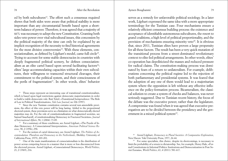ed by both subcultures<sup>13</sup>. The effort such a consensus required shows that both sides were aware that political stability is more important than any circumstantial benefit based upon a shortterm balance of power. Therefore, it was agreed that a majority of 66% was necessary to adopt the new Constitution. Granting both sides veto power over vital subcultural issues, this concession by the political majority of the time can only be explained by an implicit recognition of the necessity to find historical agreements for the most divisive controversies<sup>14</sup>. With these elements, consociationalism, as defined by Lijphart's model, came full circle<sup>15</sup>. Trying to account for some stable democracies in countries with deeply fragmented political scenery, he defines consociationalism as an elite cartel based upon several facilitating factors<sup>16</sup>: elites' large accommodating capacities within their own subcultures, their willingness to transcend structural cleavages, their commitment to the political system, and their consciousness of the perils of fragmentation<sup>17</sup>. In other words, elites' behavior

<sup>13</sup> These steps represent an interesting case of transitional constitutionalism, which is based upon legal restrictions against democratic majoritarianism in order to build a viable democratic rule. Ruti Teitel, «Transitional Jurisprudence: The Role of Law in Political Transformation», *Yale Law Journal*, no 106 (1997).

<sup>14</sup> Since the new Tunisian constitution contains several non-amendable provisions, the effect of this veto power will be long lasting. Added to the proportional electoral system, these provisions serve as a limitation on what democratically elected majorities may do. For the role of constitutionalization in fragmented societies, see Samuel Issacharoff, «Constitutionalizing Democracy in Fractured Societies», *Journal of International Affairs*, 58, 1 (2004): 73-89.

<sup>15</sup> For a summary of these conditions, see Arend Lijphart, «The Puzzle of Indian Democracy: A Consociational Interpretation», *American Political Science Review*, 90, 2 (1996), 258.

<sup>16</sup> For the notion of cartel democracy, see Arend Lijphart, *The Politics of Accommodation: Pluralism and Democracy in the Netherlands*, (Berkley: University of California Press, 1975), 203-201.

<sup>17</sup> One of the main manifestations of consociationalism is the distribution of power across competing forces in a manner that is more or less disconnected from the electoral process. Arend Lijphart, «Consociational Democracy», *World Politics*, 21, 2 (1969), 216.

serves as a remedy for unfavorable political sociology. In a later work, Lijphart expressed the same idea with a more appropriate terminology for the Tunisian case. Four mechanisms ensure a relatively efficient consensus building process: the existence and acceptance of identifiable autonomous subcultures, the resort to grand coalitions, a high level of political proportionality, and the provision of mechanisms ensuring minority veto<sup>18</sup>. It is obvious that, since 2011, Tunisian elites have proven a large propensity for all these factors. The result has been a very quick mutation of the transitional process from a street-dominated revolutionary context to elite-led political arrangements. In other words, elites' co-operation has depoliticized the masses and reduced pressure for radical claims. The constitution-making process was dominated by fears of a return to unilateralism. For example, deliberations concerning the political regime led to the rejection of both parliamentary and presidential systems. It was feared that the adoption of any one of them would lead to a majoritarian system where the opposition is left without any effective influence on the policy-formation process. Bicameralism, the classical solution to create a system of checks and balances, was never seriously suggested. Due to Tunisian recent history, the focus of the debate was the executive power, rather than the legislature. A compromise was found when it was agreed that executive prerogatives are to be divided between the presidency and the government in a mixed political system<sup>19</sup>.

<sup>18</sup> Arend Lijphart, *Democracy in Plural Societies: A Comparative Exploration*, New Haven: Yale University Press, 1977, 24-44.

<sup>19</sup> For some specialists, this choice, despite its shortcomings, is necessary to limit the probability of a return to dictatorship. See, for example, Henry Hale, «Formal Constitutions in Informal Politics: Institutions and Democratization in Post-Soviet Eurasia», *World Politics*, 63, 4 (2011): 581-617.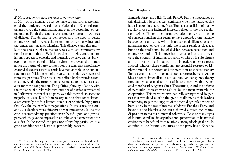# *2) 2014: consensus versus the risks of fragmentation*

In 2014, both general and presidential elections further strengthened the tendency towards consociationalism. Electoral campaigns proved the continuation, and even the deepening, of segmentation. Political discourse was structured around two lines of division: The defense of democracy and the need to defeat counter-revolution versus the promotion of secular values and the crucial fight against Islamism. This divisive campaign translates the pressure of the masses who claim less compromising policies from both sides<sup>20</sup>. It shows also the highly emotional relations between two hostile and mutually exclusive camps. However, the post-electoral political environment revealed the truth about the nature of party competition. It seems that emotionally charged discourses were essentially aimed at mobilizing subcultural masses. With the end of the vote, leaderships were released from this pressure. Their discourse shifted back towards reconciliation. Again, the proportional electoral system acted as a catalyst for more cooperation. The political plurality it led to, with the presence of a relatively high number of parties represented in Parliament, meant that no party was able to reach an absolute majority of seats. But it is necessary to add that consociationalism crucially needs a limited number of relatively big parties that play the major role in negotiations. In this sense, the 2011 and 2014 elections were different only in appearance. In the first case, accommodating practices were based upon one pivotal party, which gave the impression of unbalanced concessions for all sides. In the second, the presence of two big parties led to a grand coalition with a historical partnership between

Ennahda Party and Nida Tounis Party<sup>21</sup>. But the importance of this distinction becomes less significant when the nature of this latter is taken into account. Nida Tounis is a coalition of mainly secular forces that included interests related to the pre-revolution regime. The only significant evolution concerns the scope of consociationalism that seems to have expanded dramatically between 2011 and 2014. With this unexpected alliance, consociationalism now covers, not only the secular-religious cleavage, but also the traditional line of division between revolution and counter-revolution. This move has been a serious test to evaluate the strength of internal solidarity within both subcultures and to measure the influence of their leaders on grass roots. Indeed, whereas these conditions are essential features of Lijphart's model, supporters of both parties in post-revolutionary Tunisia could hardly understand such a rapprochement. As the idea of consociationalism is not yet familiar, conspiracy theory provided what seemed to be a satisfactory narrative that generated more hostility against elites. The status quo and the defense of particular interests were said to be the main principle for cooperation. This narrative was naturally strengthened by parties that remained outside the grand coalition, as their leaders were trying to gain the support of the most disgruntled voters of both sides. In the test of internal solidarity Ennahda Party, and beyond it the Islamist subculture, showed a much bigger predisposition to maintain internal coherence. Despite many signs of internal conflicts, its organizational penetration in its natural environment benefited from relatively strong ideological ties. In addition to the internal structures of the party itself, Ennahda

<sup>&</sup>lt;sup>20</sup> Though truly competitive, such a campaign cannot seriously address the most important economic and social issues. For a theoretical framework, see Andreas Schedler, «The Nested Game of Democratization by Elections», International Political Science Review, 23, 1 (2002): 109-111.

<sup>&</sup>lt;sup>21</sup> Taking into account the fragmented nature of the secular subculture in Tunisia, Nida Tounis itself can be considered to be a consociational party. For a theoretical analysis of intra-party accommodation, as opposed to inter-party accommodation, see Matthijs Bogaards, *Democracy and Social Peace in Divided Societies: Exploring Consociational Parties* (Basingstoke: Palgrave Macmillan, 2014), 1-19.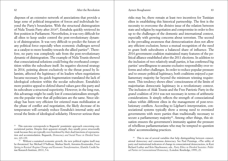disposes of an extensive network of associations that provide a large zone of political integration of forces and individuals beyond the Party's boundaries. With the structural disintegration of Nida Tounis Party after 201422, Ennahda quickly retrieved its first position in Parliament. Nevertheless, it was very difficult for all elites to keep under control the post-revolutionary dynamic of disintegration. It was very difficult to predict the future of any political force especially when economic challenges served as a catalyst to more hostility towards the allied parties<sup>23</sup>. Therefore, no party was completely safe from the post-revolutionary dynamic of disintegration. The example of Nida Tounis showed that consociational solutions could bring the overheated competition within the subculture itself. Its negative electoral strategy in 2014, pointing almost exclusively to the threat posed by Islamists, affected the legitimacy of its leaders when negotiations became necessary. Its quick fragmentation translated the lack of ideological cohesion within the secular subculture. Ennahda's more positive appeal to defend shared values gave this party and its subculture a structural superiority. However, in the long-run, this advantage might be easily lost if consociationalism strengthens the popular view that all politicians are the same. Since ideology has been very efficient for oriented mass mobilization at the phase of conflict and negotiation, the likely decrease of its temperature will certainly reduce Ennahda's internal unity and reveal the limits of ideological solidarity. However serious these

risks may be, there remain at least two incentives for Tunisian elites in establishing this historical partnership. The first is the necessity to overcome the divisive issue of the relation between state and religion by negotiation and compromise in order to live up to the challenges of the domestic and international context, especially with growing concerns about terrorism. The second is the prevailing awareness that democratization does not allow any efficient exclusion; hence a mutual recognition of the need to grant both subcultures a balanced share of influence. The 2014 government coalition maintained many features of the political alliance established after the 2011 elections. In addition to the inclusion of two relatively small parties, it has confirmed big parties' unwillingness to assume exclusive responsibility over reforms and other challenges. In order to reduce popular pressure and to ensure political legitimacy, both coalitions enjoyed a parliamentary majority far beyond the minimum winning requirement. This tendency shows elites' consciousness of the limits of majoritarian democratic legitimacy in a revolutionary context. The inclusion of Afak Tounis and the Free Patriotic Party in the grand coalition of 2014 was not necessary in terms of arithmetic considerations. It simply reflects the strength of consociational values within different elites in the management of post-revolutionary conflicts. According to Lijphart's interpretation, consociational systems typically show a strong need to oversized governments with more parties than traditionally necessary to secure a parliamentary majority<sup>24</sup>. Among other things, this situation ensures the government's immunity against the pressure of rebellious parliamentarians who may be tempted to question elites' accommodating practices.

<sup>&</sup>lt;sup>22</sup> This outcome corresponds to Bogaards' pessimistic approach concerning consociational parties. Despite their apparent strength, they usually prove structurally weak because they are typically over-burdened by their dual functions of representation and accommodation. Bogaards, *Democracy and Social Peace in Divided Societies*, 123-139.

<sup>&</sup>lt;sup>23</sup> Without a sustained economic growth, the new political regime itself may be threatened. See Michael O'Sullivan, Markus Siterli, Antonios Koutsoukis, *From Spring to Revival: Regime Change and Economic Transformation*, (Zurich: Credit Suisse Research Institute, 2011), 5-6.

<sup>24</sup> This is one of several variables that help distinguishing between consociational democracy and consensus democracy. See Paul Pennings, «The utility of party and institutional indicators of change in consociational democracies», in Kurt Richard Luther and Kris Deschouwer, eds., *Party Elites in Divided Societies: Political Parties in Consociational Democracy*, (London: Routledge, 1999), 23.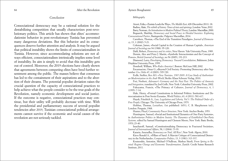# *Conclusion*

Consociational democracy may be a rational solution for the destabilizing competition that usually characterizes post-revolutionary politics. This article has shown that elites' accommodationist behavior in post-revolutionary Tunisia has prevented many dangerous deviations. But this behavior and its consequences deserve further attention and analysis. It may be argued that political instability shows the limits of consociationalism in Tunisia. However, since accommodating solutions are not always efficient, consociationalism intrinsically implies some level of instability. Its aim is simply to avoid that this instability gets out of control. Moreover, the 2019 elections have clearly shown that agreements between competing elites have bred further resentment among the public. The masses believe that consensus has led to the containment of their aspirations and to the abortion of their dreams. The potential populist deviation raises the crucial question of the capacity of consociational practices to help achieve what the people consider to be the true goals of the Revolution, namely economic development and social justice. If the outcome is negative, consociational practices may continue, but their utility will probably decrease with time. With the presidential and parliamentary success of several populist tendencies after 2019, Tunisian consociational political arrangements cannot survive if the economic and social causes of the revolution are not seriously tackled.

### 84 After the Revolution Aymen Boughanmi 85

### *Bibliography*

Atzori, Erika, «Tunisia Leads the Way», *The Middle East*, 428 (December 2011): 18. Badiou, Alain, *The rebirth of history: Times of riots and uprisings*, London: Verso, 2012. Barry, Norman, *An Introduction to Modern Political Theory*, London: Macmillan, 2000. Bogaards, Matthijs, *Democracy and Social Peace in Divided Societies: Exploring Consociational Parties*, Basingstoke: Palgrave Macmillan, 2014.

Carothers, Thomas, «The End of the Transition Paradigm», *Journal of Democracy*, 13, 1 (2002): 5-21.

Coleman, James, «Social Capital in the Creation of Human Capital», *American Journal of Sociology* no 94 (1988): 95-120.

Dahl, Robert, *Democracy and its critics*, New Haven: Yale University Press, 1989. Dennis, Alex and Peter J. Martin, «Symbolic Interactionism and the Concept of Power», *British Journal of Sociology*, no 56 (2005), 191-213.

Diamond, Larry, *Developing Democracy: Toward Consolidation*, Baltimore: Johns Hopkins University Press, 1999.

Domhoff, William, *Who Rules America?*, Boston: McGraw Hill, 2002.

Encarnacion, Omar G.,«Beyond Civil Society: Promoting Democracy after September 11», *Orbis* 47, 4 (2003): 705-720.

Erdle, Steffen, *Ben Ali's «New Tunisia», 1987-2009: A Case Study of Authoritarian Modernization in the Arab World*, Berlin: Klaus Schwarz Verlag, 2010.

Frei, Norbert, *Adenauer's Germany and the Nazi Past: The Politics of Amnesty and Integration*, translated by Joel Golb, New York: Columbia University Press, 2002.

Fukuyama, Francis, «The Primacy of Culture», *Journal of Democracy*, 6, 1  $(1995) \cdot 7.14$ 

Hale, Henry, «Formal Constitutions in Informal Politics: Institutions and Democratization in Post-Soviet Eurasia», *World Politics*, 63, 4 (2011): 581-617.

Hayek, Friedrich A., *Law, Legislation and Liberty, Vol 3: The Political Order of a Free People*, Chicago: The University of Chicago Press, 1979.

Hobbes, Thomas, *Leviathan*, (1st published: 1651), C. B. Macpherson (ed.), London: Penguin, 1968.

Hunter, Floyd, *Community Power Structure*, New York: Anchor Books, 1953.

Huntington, Samuel, «Social and Institutional Dynamics of One-Party Systems», in *Authoritarian Politics in Modern Society: The Dynamics of Established One-Party Systems,* edited by Samuel Huntington and Clement Moore, New York: Basic Books, 1970, 23-40.

Issacharoff, Samuel, «Constitutionalizing Democracy in Fractured Societies», *Journal of International Affairs*, 58, 1 (2004): 73-93.

Kataria, Anuradha, *Democracy on Trial, All Rise!*, New York: Algora, 2010.

Kieve Ronald A., «Pillars of Sand: A Marxist Critique of Consociational Democracy in the Netherlands», *Comparative Politics*, 13, 3 (1981): 313-337.

Koutsoukis, Antonios, Michael O'Sullivan, Markus Siterli, *From Spring to Revival: Regime Change and Economic Transformation*, Zurich: Credit Suisse Research Institute, 2011.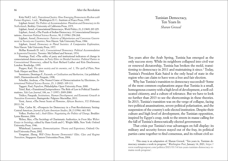### <span id="page-43-0"></span>86 After the Revolution

Kritz Neff J. (ed.), *Transitional Justice: How Emerging Democracies Reckon with Former Regimes, 3 vols.*, Washington D. C.: Institute of Peace Press, 1995.

Lijphart Arend, *The Politics of Accommodation: Pluralism and Democracy in the Netherlands*, Berkley: University of California Press, 1975.

Lijphart, Arend, «Consociational Democracy», *World Politics*, 21, 2 (1969): 207-225. Lijphart, Arend, «The Puzzle of Indian Democracy: A Consociational Interpretation», *American Political Science Review*, 90, 2 (1996): 258-268.

Lijphart, Arend, *Democracies: Patterns of Majoritarian and Consensus Government in Twenty-one Countries*, New Haven: Yale University Press, 1984.

Lijphart, Arend, *Democracy in Plural Societies: A Comparative Exploration*, New Haven: Yale University Press, 1977.

McRae Kenneth D. (ed.), *Consociational Democracy: Political Accommodation in Segmented Societies*, Toronto: McClelland and Stewart, 1974.

Pennings, Paul, «The utility of party and institutional indicators of change in consociational democracies», in *Party Elites in Divided Societies: Political Parties in Consociational Democracy*, edited by Kurt Richard Luther and Kris Deschouwer, London: Routledge, 1999.

Popper, Karl, *The open society and its enemies, vol. 1, The spell of Plato*, New York: Harper and Row, 1963.

Sarmiento, Domingo F., *Facundo, or Civilisation and Barbarism*, (1st published: 1845), Harmondsworth: Penguin, 1998.

Schedler, Andreas, «The Nested Game of Democratization by Elections», *International Political Science Review*, 23, 1 (2002): 109-111.

Taggart, Paul, *Populism*, Philadelphia: Open University Press, 2000.

Teitel, Ruti, «Transitional Jurisprudence: The Role of Law in Political Transformation», *Yale Law Journal*, 106, no. 7 (1997): 2009-2080.

Tridico, Pasquale, *Institutions, Human Development, and Economic Growth in Transition Economies*, Basingstoke: Palgrave Macmillan, 2011.

Versi, Anver, «The Sweet Scent of Flowers», *African Business*, 372 (February  $2011$ ): 54

Vilas, Carlos M., «Prospects for Democracy in a Post-Revolutionary Setting: Central America», *Journal of Latin American Studies*, 28, 2 (1996): 461-503.

Volker, Perthes (ed.), *Arab Elites: Negotiating the Politics of Change*, Boulder: Lynne Rienner, 2004.

Weber, Max, «The Sociology of Charismatic Authority», in *From Max Weber: Essays in Sociology*, edited by Hans Gerth and C. Wright Mills, New York: Oxford University Press, 1946.

Whitehead, Laurence, *Democratization: Theory and Experience*, Oxford: Oxford University Press, 2002.

Yongnian, Zheng, *Will China Become Democratic? Elite, Class and Regime Transition*, Singapore: Eastern Universities Press, 2004.

Tunisian Democracy, Ten Years In *Sharan Grewal*

Ten years after the Arab Spring, Tunisia has emerged as the only success story. While its neighbors collapsed into civil war or renewed dictatorship, Tunisia has broken the mold, transitioning to democracy in 2011 and maintaining it since.<sup>1</sup> Today, Tunisia's President Kais Saied is the only head of state in the region who can claim to have won a free and fair election.

Why has Tunisia's transition to democracy succeeded? Some of the most common explanations argue that Tunisia is a small, homogenous country with a high level of development, a well-educated citizenry, and a culture of tolerance. But we have to look no further than 2013 to see the shortcomings in these theories. In 2013, Tunisia's transition was on the verge of collapse, facing two political assassinations, severe political polarization, and the suspension of the country's sole elected institution. Despite their culture and high level of development, the Tunisian opposition, inspired by Egypt's coup, took to the streets in masse calling for the fall of Tunisia's democratically-elected government.

That crisis put Tunisia's true advantages on full display: its military and security forces stayed out of the fray, its political parties came together to find consensus, and its robust civil so-

<sup>&</sup>lt;sup>1</sup> This essay is an adaptation of: Sharan Grewal, "Ten years in, Tunisian democracy remains a work in progress," *Washington Post*, January 14, 2021, [https://](https://www.washingtonpost.com/politics/2021/01/14/ten-years-tunisian-democracy-remains-work-progress/) [www.washingtonpost.com/politics/2021/01/14/ten-years-tunisian-democracy-re](https://www.washingtonpost.com/politics/2021/01/14/ten-years-tunisian-democracy-remains-work-progress/)[mains-work-progress/](https://www.washingtonpost.com/politics/2021/01/14/ten-years-tunisian-democracy-remains-work-progress/).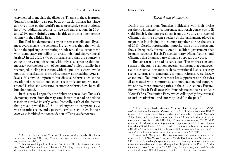Sharan Grewal

ciety helped to mediate the dialogue. Thanks to these features, Tunisia's transition was put back on track. Tunisia has since approved one of the world's most progressive constitutions, held two additional rounds of free and fair elections in 2014 and 2019, and rightfully earned its title as the most democratic country in the Middle East.

But Tunisian democracy is by no means consolidated. By almost every metric, the economy is even worse than that which led to the uprising, contributing to substantial disillusionment with democracy for failing to create jobs and deliver social justice.2 In fall 2020, 87% of Tunisians said that the country is going in the wrong direction, with only 41% agreeing that democracy was the best form of government.3 Police brutality has reemerged, fueling frustration with the political system, while political polarization is growing, nearly approaching 2012-13 levels. Meanwhile, important but divisive reforms such as the creation of a constitutional court, security sector reform, transitional justice, and structural economic reforms, have been all but abandoned.

In this essay, I argue that the failure to consolidate Tunisia's democracy stems from the very same factors that had helped the transition survive its early years. Ironically, each of the factors that proved pivotal in 2013 – a willingness to compromise, a weak security sector, and a powerful civil society – have in their own ways inhibited the consolidation of Tunisia's democracy.

<sup>2</sup> See, e.g., Sharan Grewal, "Tunisian Democracy at a Crossroads," Brookings Institution, February 2019, [https://www.brookings.edu/research/tunisian-democ](https://www.brookings.edu/research/tunisian-democracy-at-a-crossroads/)racy-at-a-crossroads/ p. 2.

<sup>3</sup> International Republican Institute, "A Decade After the Revolution, Tunisians Worried About the Future," January 7, 2021, [https://www.iri.org/resource/](https://www.iri.org/resource/decade-after-revolution-tunisians-worried-about-future) [decade-after-revolution-tunisians-worried-about-future.](https://www.iri.org/resource/decade-after-revolution-tunisians-worried-about-future)

# *The dark side of consensus*

During the transition, Tunisian politicians won high praise for their willingness to compromise and reach consensus. Béji Caid Essebsi, the late president from 2015-2019, and Rached Ghannouchi, the current speaker of the parliament, played a major role in bringing the country together during the crisis of 2013. Despite representing opposite ends of the spectrum, they subsequently formed a grand coalition government that brought together Essebsi's secular party Nidaa Tounes and Ghannouchi's Islamist party Ennahda between 2015-2018.

But consensus also had its dark sides.<sup>4</sup> The emphasis on consensus in the grand coalition government meant that controversial but essential demands, such as transitional justice, security sector reform, and structural economic reforms, were largely abandoned. Too much consensus left supporters of both sides disenchanted with compromise and moderation, and supportive of new, more extreme parties in the 2019 elections. Frustration with Essebsi's alliance with Ennahda fueled the rise of Abir Moussi's Free Destourian Party, which calls openly for a reversal to authoritarianism – and currently 'leads' in the polls.<sup>5</sup>

<sup>4</sup> For more, see Nadia Marzouki, "Tunisia's Rotten Compromise," *Middle East Research and Information Project*, July 10, 2015, [https://merip.org/2015/07/](https://merip.org/2015/07/tunisias-rotten-compromise/) [tunisias-rotten-compromise/](https://merip.org/2015/07/tunisias-rotten-compromise/); Sarah Yerkes and Zeineb Ben Yahmed, "Tunisia's Political System: From Stagnation to Competition," Carnegie Endowment for International Peace, March 28, 2019, [https://carnegieendowment.org/2019/03/28/](https://carnegieendowment.org/2019/03/28/tunisia-s-political-system-from-stagnation-to-competition-pub-78717) [tunisia-s-political-system-from-stagnation-to-competition-pub-78717;](https://carnegieendowment.org/2019/03/28/tunisia-s-political-system-from-stagnation-to-competition-pub-78717) and Sharan Grewal and Shadi Hamid, "The dark side of consensus in Tunisia: Lessons from 2015-2019," Brookings Institution, January 2020, https://www.brookings.edu/re-<br>search/the-dark-side-of-consensus-in-tunisia-lessons-from-2015-2019/.

<sup>5</sup> Anne Wolf, "Snapshot – The Counterrevolution Gains Momentum in Tunisia: The Rise of Abir Moussi," Project on Middle East Democracy, November 18, 2020, [https://pomed.org/snapshot-the-counterrevolution-gains-momentum-in-tu](https://pomed.org/snapshot-the-counterrevolution-gains-momentum-in-tunisia-the-rise-of-abir-moussi/)[nisia-the-rise-of-abir-moussi/](https://pomed.org/snapshot-the-counterrevolution-gains-momentum-in-tunisia-the-rise-of-abir-moussi/); and *Mosaique* FM, "Législatives : Le PDL en tête des intentions de vote," December 15, 2020, [https://www.mosaiquefm.net/fr/actual](https://www.mosaiquefm.net/fr/actualite-national-tunisie/835231/legislatives-le-pdl-en-tete-des-intentions-de-vote)[ite-national-tunisie/835231/legislatives-le-pdl-en-tete-des-intentions-de-vote](https://www.mosaiquefm.net/fr/actualite-national-tunisie/835231/legislatives-le-pdl-en-tete-des-intentions-de-vote).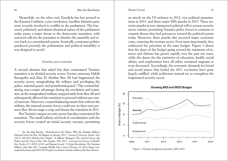### Sharan Grewal

Meanwhile, on the other end, Ennahda has lost ground to the Karama Coalition, a pro-revolution, hardline Islamist party most recently involved in scuffles in the parliament. The fractured, polarized, and almost theatrical nature of the parliament today poses a major threat to the democratic transition, with renewed calls for the president to dissolve the assembly and revert back to a presidential system. Ironically, consensus politics produced precisely the polarization and political instability it was designed to avoid.

### *Security over economy*

A second element that aided but then constrained Tunisia's transition is its divided security sector. Former autocrats Habib Bourguiba and Zine El Abidine Ben Ali had fragmented the security sector, marginalizing the military and privileging the police, national guard, and presidential guard.6 This counterbalancing was a major advantage during the revolution and transition, as the marginalized military stepped aside from Ben Ali and subsequently allowed the transition to proceed without any vested interests. Moreover, counterbalancing meant that without the military, the internal security forces could not on their own preserve Ben Ali nor stage a coup and thwart the transition in 2013.

But Tunisia's unique security sector has also constrained the transition. The small military and lack of coordination with the security forces created an initial security vacuum, permitting

<sup>6</sup> See also Risa Brooks, "Abandoned at the Palace: Why the Tunisian Military Defected from the Ben Ali Regime in January 2011," *Journal of Strategic Studies* 36:2 (2013), 205-220; Hicham Bou Nassif, "A Military Besieged: The Armed Forces, the Police, and the Party in Bin 'Ali's Tunisia, 1987-2011," *International Journal of Middle East Studies* 47:1 (2015), 65-87; and Sharan Grewal, "A Quiet Revolution: The Tunisian Military After Ben Ali," Carnegie Middle East Center, February 24, 2016, [https://car](https://carnegieendowment.org/2016/02/24/quiet-revolution-tunisian-military-after-ben-ali/iucz)[negieendowment.org/2016/02/24/quiet-revolution-tunisian-military-after-ben-ali/iucz](https://carnegieendowment.org/2016/02/24/quiet-revolution-tunisian-military-after-ben-ali/iucz).

an attack on the US embassy in 2012, two political assassinations in 2013, and three major ISIS attacks in 2015. These terrorist attacks in turn dampened political will to pursue security sector reform, permitting Tunisia's police forces to continue to commit abuses that fuel grievances toward the political system today. Moreover, these attacks also incurred major economic costs, cratering the tourism sector. Even most importantly, they redirected the priorities of the state budget. Figure 1 shows that the share of the budget going toward the ministries of interior and defense has grown rapidly over the past ten years, while the shares for the ministries of education, health, social affairs, and employment have all either remained stagnant or even decreased. Accordingly, the economic demands for bread and social justice that fueled the 2011 revolution have gone largely unfilled, while politicians instead try to strengthen the fragmented security sector.



Figure 1: Tunisian budgetary priorities, 2009-2019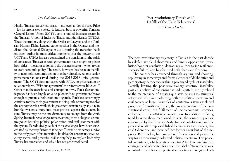# *The dual faces of civil society*

<span id="page-46-0"></span>Finally, Tunisia has earned praise – and even a Nobel Peace Prize – for its strong civil society. It features both a powerful Tunisian General Labor Union (UGTT), and a united business sector in the Tunisian Union of Industry, Trade, and Handicrafts (UTICA). These institutions, along with the Order of Lawyers and the Tunisian Human Rights League, came together in the Quartet and mediated the National Dialogue in 2013, putting the transition back on track during its most critical moments. But the power of the UGTT and UTICA has also constrained the transition. In the spirit of consensus, Tunisia's elected governments have sought to please both sides – the labor union and the business sector – when trying to craft economic policy. The result, however, has been an inability to take bold economic action in either direction. As one senior parliamentarian observed during the 2015-2018 unity government: "The UGTT does not agree with UTICA on privatization or taxation reform. [Without agreement] the reforms were blocked."7 Other than the occasional anti-corruption drive, Tunisia's economic policy has been largely on auto-pilot, with no government brave enough to pursue a bold economic agenda. Tunisians accordingly continue to view their government as doing little or nothing to solve the economic crisis, while their grievances remain ready any day to bubble over once more into mass protests against the system. In sum, Tunisia may be the one democracy to emerge from the Arab Spring, but major challenges remain, among them a sluggish economy, police brutality, political polarization, and disillusionment with the system. Paradoxically, each of these challenges have been exacerbated by the very factors that helped Tunisia's democracy survive in the early years of its transition. Its drive for consensus, weak security sector, and powerful civil society help to explain both why Tunisia has succeeded and why it has not yet consolidated.

# Post-revolutionary Tunisia at 10: Pitfalls of the 'Twin Tolerations' *Ruth Hanau Santini*

The post-revolutionary trajectory in Tunisia in the past decade has defied simple dichotomies and binary oppositions (revolution/counter-revolution; democracy/authoritarian resilience; success/failure) and has featured both chaos and freedom.

The country has advanced through arguing and shouting, replicating in some ways and forms elements of deliberative and participatory democracy within a prolonged cycle of instability. Partially limiting the post-revolutionary structural instability, post-2013 politics of consensus has had its pitfalls, mostly related to the maintenance of a status quo attitude vis-à-vis structural reforms which risked polarizing both the political spectrum and civil society at large. Examples of contentious issues included progress of transitional justice, the implementation of the constitutional court, the fulfillment of socio-economic promises, embedded in the 2014 new constitution. In addition to failing to address the above-mentioned dossiers, the consensus politics, epitomized by the Ennahda-Nida Tounes' cohabitation and the personal relationship established between its two leaders, Rachid Ghannouci and now defunct former President of the Republic Béji Essebsi, has engendered frustration and paved the way for an increasingly polarized political spectrum. This peaceful coexistence, which political scientist Alfred Stepan famously envisaged and advocated for under the label of 'twin tolerations' – mutual respect between political authorities and religious lead-

<sup>7</sup> Interview with author, Tunis, January 17, 2019.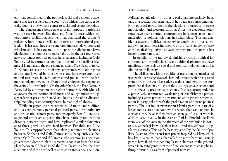### Ruth Hanau Santini

ers – has contributed to the political, social and economic stalemate that has suspended the country's political trajectory, especially, but not only when it comes to social and economic rights.

The convergence between electorally opposed parties, as was the case between Ennahda and Nida Tounes, which entered into a coalition government, has stabilized the country's trajectory both domestically and in terms of international projection. It has also, however, generated increasingly widespread criticism and it has opened up a space for divergent views, ideologies, positioning and personalities. In the last few years, new prominent political parties have emerged, including Qalb Tounes, led by former tycoon Nabil Karoui, the hardliner islamist al-Karama and the old regime nostalgic Free Destour party. Al-Karama rejects the idea of any compromise with old regime figures and is voted by those who stand for sovereignty over natural resources -in stark contrast and polemic with the former colonizing power, i.e. France- and endorses the slogans of the 2010-2011 revolution. On the other hand, the Free Destour Party, led by a former ancient regime figurehead, Abir Moussi, advocates the eradication of islamists and re-legitimizes the legacy of former president Ben Ali and key features of his dictatorship, including state security forces' human rights' abuses.

While on paper, the newcomers could not be more different – a corrupt crony personal political party, a revolutionary and pro-sharia islamist party and an openly Ben Ali era nostalgic and anti-islamist party- they have partially reduced the distance between them and have replicated similar dynamics as to those previously criticized between Ennahda and Nida Tounes. This rapprochement has taken place after the elections between Ennhada and Qalb Tounes and subsequently also between Qalb Tounes and al-Karama, who are now in a coalition government. Some think the same will sooner or later also take place between al-Karama and the Free Destour, after the next elections and if the need will arise to enter into a new coalition.

Political polarization, in other words, has increasingly been part of a tactical posturing, and it has been used instrumentally by political parties before the elections in order to increase mobilization and electoral turnout. After the elections, softer tones have been adopted, compromises have been struck, normalization of political relations has taken place. This has enabled a peaceful political trajectory to continue, but has alienated voters and increasing sectors of the Tunisian civil society as the tactical hypocrisy displayed by most political parties has become apparent to all.

In parallel to the rapidly diminishing trust in political institutions and in politicians, two additional phenomena have manifested themselves: social and political polarization and a diminished religiosity.

The disillusion with the politics of transition has manifested itself with decreasing levels of electoral turnout, which has passed from 67% at the 2014 legislative elections and 60% at the 2014 presidential elections, to 41% at the 2019 legislative elections and 50% at the 2019 presidential elections. This has corresponded to a particularly accentuated weakening of establishment parties, including islamist parties in government, and a growing fragmentation in party politics with the proliferation of dozens political parties. The decline of mainstream islamist parties is part of a larger trend across the Arab world: where they can compete in elections, they have shifted from an average of 35% of votes in 2013 to 20% in 2019. In the case of Tunisia, Ennahda declined from 37% of the votes in the aftermath of the revolution in 2011, to 27% at the legislative elections in 2014 and 18% at the 2018 legislative elections. This can be best explained by the failure of political Islam to offer a consistent project inspired by Islam, which has left a vacuum that either Salafi or more hardline islamist parties have filled or expanding Islamic charities on the ground, which increasingly interpret their function not as much in philanthropic terms but as a form of political activism.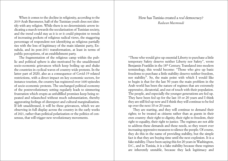<span id="page-48-0"></span>When it comes to the decline in religiosity, according to the 2019 Arab Barometer, half of the Tunisian youth does not identify with any religion. While there is no deterministic arrow indicating a march towards the secularization of Tunisian society, and the trend could stay as it is or it could pinpoint to trends of increasing pockets of religious radical views, the staggering percentage of respondent not identifying as religious partially ties with the loss of legitimacy of the main islamist party, Ennahda, and its post-2011 transformation, at least in terms of public perceptions, of an establishment party.

The fragmentation of the religious camp within the public and political sphere is also motivated by the unaddressed socio-economic grievances which keep boiling up and shake the countries in cyclical waves of country-wide protests. In the latter part of 2020, also as a consequence of Covid-19 related restrictions, with a direct impact on key economic sectors, for instance tourism, the country has registered over 1600 episodes of socio-economic protests. The unchanged political economy of the postrevolutionary setting regularly leads to simmering frustration which erupts as unfulfilled promises keep being repeated and relaunched without much substantiation, thereby aggravating feelings of disrespect and cultural marginalization. If left unaddressed, it will be these grievances, which we are observing in full display across the country in the early weeks of 2021, rather than political polarization or the politics of consensus, that will trigger new revolutionary movements.

# How has Tunisia created a *real* democracy? *Radwan Masmoudi*

"Those who would give up essential Liberty to purchase a little temporary Safety deserve neither Liberty nor Safety", wrote Benjamin Franklin in the 18<sup>th</sup> Century. Translated into modern terminology, this would become: "Those who give up basic freedoms to purchase a little stability deserve neither freedom, nor stability". So, the main point with which I would like to begin is that for the last 50 years the main problem in the Arab world has been the nature of regimes that are extremely oppressive, dictatorial, and out of touch with their population. The people, and especially the younger generations are fed up. They have been fed up for the last 10 or 20 years and I think they are still fed up now and I think they will continue to be fed up over the next 10 or 20 years.

They are starting, and they will continue to demand their rights; to be treated as citizens rather than as guests in their own country: their right to dignity, their right to freedom, their right to equality, their right to justice. The regimes are not able to address these demands and these needs, so they resort ever increasing oppressive measures to silence the people. Of course, they do this in the name of providing stability, but the simple fact is that they are buying time until the next explosion. It is a fake stability. I have been saying this for 20 years in Washington, D.C., and in Tunisia, it is a fake stability because these regimes are inherently unstable, because they lack legitimacy and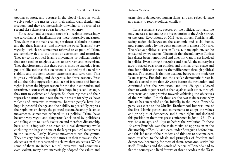### 98 After the Revolution Redwan Masmoudi 99 Radwan Masmoudi 99

popular support, and because in the global village in which we live today, the masses want their rights, want dignity and freedom, and they are increasingly unwilling to be treated as second class citizens or guests in their own country.

Since 2000, and especially since 9/11, regimes increasingly use terrorism as a justification for these oppressive measures. They claim that the main challenge or threat is Islamist in nature and that these Islamists – and they use the word "Islamist" very vaguely – which are sometimes referred to as political Islam, are somehow tied to the threat of extremism and terrorism. They try to tie political Islamic movements or political parties that are based on religious values to terrorism and extremism. They therefore argue that these parties must be excluded from political life and that this exclusion is justified by the need for stability and the fight against extremism and terrorism. This is grossly misleading and dangerous for three reasons. First of all, the rising oppression and lack of freedoms and human rights is often the biggest reason for the rise in extremism and terrorism, because when people lose hope in peaceful change, they turn to violence and despair. So, these regimes and their repressive nature, are in fact the main reason for why we have violent and extremist movements. Because people have lost hope in peaceful change and their ability to peacefully express their opinions or change the political system. Secondly, Islamist movements, sometimes referred to as political Islam, have become very vague and dangerous labels used by politicians and ruling elites to justify exclusion and therefore dictatorship because it is impossible to establish a real democracy while excluding the largest or one of the largest political movements in the country. Lastly, Islamist movements run the gamut. They are very different in their natures, in their views and their objectives, in the means used to achieve their objectives. While some of them are indeed radical, extremist, and sometimes even violent, many have increasingly adopted the values and

principles of democracy, human rights, and also reject violence as a means to resolve political conflicts.

Tunisia remains a big success on the political front and the only success so far among the five countries of the Arab Spring, or the Arab Revolutions, of 2011, even though Tunisia is still facing major challenges on the economic and social fronts, now compounded by the worst pandemic in almost 100 years. The relative political success in Tunisia, in my opinion, can be explained by two factors. The first is that the military in Tunisia has always been nonpolitical and does not want to get involved in politics. Even during Bourguiba and Ben Ali, the military has always stayed away from politics, and this has given space and time for politicians to resolve their differences through political means. The second, is that the dialogue between the moderate Islamist party, Ennahda and the secular democratic forces in Tunisia started more than 20 years before the revolution and continued after the revolution, and this dialogue allowed them to work together rather than against each other, through consensus and compromise towards achieving the objectives of the revolution. I think these are the two main reasons why Tunisia has succeeded so far. Initially, in the 1970s, Ennahda party was close to the Muslim Brotherhood but was one of the first Islamic parties and movements to adopt the values and principles of democracy and human rights and declared this position in their first press conference in June 1981. This was 40 years ago, and 30 years before the revolution. In those 30 years Ennahda was the main victim of oppression in the dictatorship of Ben Ali and even under Bourguiba before him, and this led most of their leaders and thinkers to become even more attached to the ideals and principles of freedom and democracy, becoming, for most of them, synonymous with life itself. Hundreds and thousands of leaders of Ennahda had to flee the country and lived for two or three decades in the West,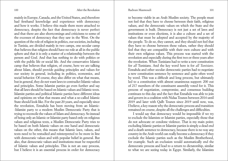### Radwan Masmoudi

mainly in Europe, Canada, and the United States, and therefore had firsthand knowledge and experience with democracy and how it works. I believe this made them more attached to democracy, despite the fact that democracy is never perfect and that there are also shortcomings and criticisms to some of the excesses of democracy that they saw in the West. On the question of the role of religion in politics, our societies, including in Tunisia, are divided mainly in two camps, one secular camp that believes that religion should have no role at all in the public sphere and that it is only a matter of a relationship between the person and God. And that has nothing to do with politics or with the public life or social life. And the conservative Islamic camp that believes that religion, of course, here we are talking about Islam, should provide guiding principles and values for our society in general, including in politics, economics, and social behavior. Of course, they also differ on what that means, but in general, they do not want laws to contradict Islamic values and principles. Some Islamist parties go even further and say that all laws should be based on Islamic values and Islamic texts. Islamist parties and political Islamic parties have different ideas and opinions on what that means and what a so-called Islamic State should look like. For the past 20 years, and especially since the revolution, Ennahda has been moving from an Islamic- -Islamist party to a modern Muslim Democratic Party that is trying to reconcile the values of Islam and democracy. So instead of being only an Islamic or Islamist party based only on religious values and religious texts, a Muslim Democratic Party tries to be based on both Islamic values on one hand and democratic values on the other, this means that Islamic laws, values, and texts need to be restudied and reinterpreted to be more in line with democratic values and with popular belief in general. But also, that democratic values and institutions must be respectful of Islamic values and principles. This is not an easy process, but I believe it is an essential process in order for democracy

to become viable in an Arab Muslim society. The people must not feel that they have to choose between their faith, religious values, and the democratic values on which the State and the government is built. Democracy is not just a set of laws and institutions or even elections, it is also a culture and a set of values that must be adopted and accepted by the majority of the people. To do so, they cannot, and they should not feel that they have to choose between these values, rather they should feel that they are compatible with their own culture and with their own religious values. This process was started with the revolution and especially during the first two or three years after the revolution. When Tunisians had to write a new constitution for *all* Tunisians. And the key word here is for *all Tunisians*. Ennahda and other secular democratic parties had to negotiate a new constitution sentence by sentence and quite often word by word. This was a difficult and long process, but ultimately led to a constitution with almost unanimous support: 200 out of 217 members of the constituent assembly voted for it. This process of negotiation, compromise, and consensus building continues to this day and the fact that Ennahda was able to join and govern in a coalition with Nidaa Tounes between 2014 until 2019 and later with Qalb Tounes since 2019 until now, was, I believe, a key reason why the democratic process and transition remained on course, despite all the challenges and difficulties.

I would say that democracy would be impossible if we try to exclude the Islamists or Islamist parties, especially those that do not advocate or condone violence. That is my main point; excluding Islamic parties or Islamist parties is simply a dead end and a death sentence to democracy, because there is no way any country in the Arab world can really become a democracy if they exclude the Islamic parties such as the Muslim Brotherhood, for example. Such an exclusion would automatically end the democratic process and lead to a return to dictatorship, similar to what we are seeing today in Egypt. Similarly, the Islamists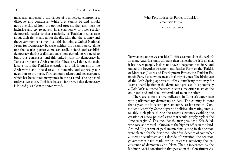<span id="page-51-0"></span>must also understand the values of democracy, compromise, dialogue, and consensus. While they cannot be and should not be excluded from the political process, they also must be inclusive and try to govern in a coalition with other secular democratic parties so that a majority of Tunisians feel at ease about their rights, and about the direction that the country and the government is taking. I call this building a United National Front for Democracy because neither the Islamic party alone nor the secular parties alone can really defend and establish democracy during a difficult transition period, so we need to build this consensus, and this united front for democracy in Tunisia or in other Arab countries. These are, I think, the main lessons from the Tunisian exception, and this is our gift to the Arab world and indeed to all of humanity and especially our neighbors to the north. Through our patience and perseverance, which has been tested many times in the past and is being tested today as we speak, Tunisians have so far proved that democracy is indeed possible in the Arab world.

# What Role for Islamist Parties in Tunisia's Democratic Future? *Jonathan Laurence*

To what extent can we consider Tunisia as a model for the region? In many ways, it is quite different than its neighbors: it is smaller, it has fewer people, it does not have a hegemonic military, and unlike the Egyptian Freedom and Justice Party or the Turkish or Moroccan Justice and Development Parties, the Tunisian Ennahda Party has nowhere near a majority of votes. The birthplace of the Arab Spring appears to offer a tantalizing third way for Islamist participation in the democratic process. It is potentially a Goldilocks outcome, between electoral majoritarianism on the one hand, and anti-democratic militarism on the other.

There are some positive indicators in Tunisia's experience with parliamentary democracy to date. The country is more than a year into its second parliamentary session since the Constituent Assembly. Some degree of political alternating unmistakably took place during the recent elections, avoiding the creation of a new political caste that would simply replace the "ancien régime." This includes the new president, Kaïs Saïed, who rose as a virtual unknown to the highest office in the land. Around 70 percent of parliamentarians sitting in this session were elected for the first time. After five decades of somewhat autocratic secularism and a decade of transition, the coalition governments have made strides towards achieving the coexistence of democracy and Islam. That is incarnated by the landmark 2014 constitution that passed in the Constituent As-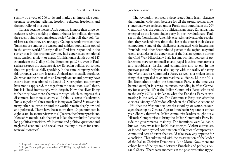sembly by a vote of 200 to 16 and marked an impressive compromise protecting religion, freedom, religious freedoms, and the neutrality of mosques.

Tunisia became the first Arab country in more than three decades to receive a ranking of three or better for political rights on the seven-point Freedom House scale.1 Yet in poll after poll, Tunisians say that they are unhappy. Gallup recently revealed that Tunisians are among the tensest and saddest populations polled in the entire world.2 Nearly half of Tunisians responded in the survey that in the previous day they had experienced emotional pain, tension, anxiety, or anger. (Tunisia ranks eighth out of 145 countries in the Gallup Global Emotions poll.) So, even if Tunisia has escaped the extremes of, say, Egyptian political outcomes, they are psycho-socially speaking, in the same company, within this group, as war-torn Iraq and Afghanistan, mentally speaking. So, what are the roots of this? Unemployment and poverty have clearly been exacerbated by Covid-19. Corruption and poverty have not disappeared, the rage from the revolution is still there, but it is lined increasingly with despair. Now, the silver lining is that they have more channels through which to express this discontent, but there is, above all, I think, a sense of stalemate. Tunisian political elites, much as in my own United States and in many other countries around the world, remain deeply divided and polarized. There have been more than 10 governments in eight years. In an interview with al-Jazeera, the former president, Moncef Marzouki, said that what killed the revolution "was the long political transition. We lost time and political questions and neglected economic and social ones, making it easier for counterrevolutionaries".

The revolution exposed a deep-seated State-Islam cleavage that remains wide open because for all the proud secular milestones that were achieved under President Bourguiba in the 20<sup>th</sup> Century, it was the country's political Islam party, Ennahda, that emerged as the largest single party in post-revolutionary Tunisia. In the Constituent Assembly elected shortly after the revolution, they received three times the size of the vote of their closest competitor. Some of the challenges associated with integrating Ennahda, and other Brotherhood parties in the region, may find useful analogies in the experience of the Italian republic during the Cold War. Historically, Italy has known high degrees of polarization between nationalists and papal loyalists, monarchists and republicans, fascists and communists and so on. In the postwar period, Italy was also coping with the reality of having the West's largest Communist Party, as well as a violent leftist fringe that appealed to an international audience. Like the Muslim Brotherhood today, the Communist Party at the time was banned outright in several countries, including in West Germany, for example. What the Italian Communist Party witnessed in the early 1970s is similar to what the Ennahda Party is witnessing in the early 2010s. The Communist Party saw, after the electoral victory of Salvador Allende in the Chilean elections of 1973, that the Western democracies stood by, or worse, encouraged the coup by General Agosto Pinochet in September of that year. Shortly thereafter, Italian communist leaders sought out a Historic Compromise to bring the Italian Communist Party inside the governmental majority. The intentions were laudable, but we know what fate befell that attempt. Violent extremists, or indeed some cynical combination of skeptics of compromise, committed acts of terror that would take away any appetite for a coalition. This culminated with the assassination of the leader of the Italian Christian Democrats, Aldo Moro. Now, there are echoes here of the dynamic between Ennahda and perhaps Ansar al-Sharia. There were moments in the post-revolutionary pe-

<sup>1</sup> <https://freedomhouse.org/country/tunisia/freedom-world/2020>

<sup>&</sup>lt;sup>2</sup> [https://www.gallup.com/analytics/324191/gallup-global-emotions-re](https://www.gallup.com/analytics/324191/gallup-global-emotions-report-2020.aspx)[port-2020.aspx](https://www.gallup.com/analytics/324191/gallup-global-emotions-report-2020.aspx)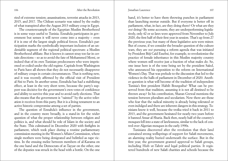riod of extreme tension; assassinations, terrorist attacks in 2013, 2015, and 2017. The Chilean scenario was raised by the reality of what transpired after the August 2013 military coup in Egypt.

The counterexample of the Egyptian Muslim Brotherhood is in some ways useful to Tunisia. Ennahda participates in government but senses it will never come into a majority – even if it is one of the largest single political forces. Ennahda's participation marks the symbolically important inclusion of an undeniable segment of the regional political spectrum: a Muslim Brotherhood affiliate. But it knows it cannot stray too far in certain directions – so as to avoid the fate of Mohammed Morsi, or indeed that of its own Tunisian predecessors who were imprisoned or exiled under the old regime. Capitals from Washington to Paris have all shown that they do not necessarily disapprove of military coups in certain circumstances. That is nothing new, and it was recently affirmed by the official visit of President al-Sisi to Paris. In another sense, Ennahda has had a stabilizing effect, at least in the very short term, because the party's support was decisive for the government's own votes of confidence and ability to survive this year and to avoid early elections. That also means that the government is "tainted" by the active toleration it receives from this party. But it is a living testament to an active historic compromise among a set of parties.

The question of Ennahda's influence in the government, and in the country more broadly, is a stand-in for the wider question of what the proper relationship between religion and politics is, and what should be role of Islam in the society and the State. This culminated in December 2020 with fistfights in parliament, which took place during a routine parliamentary commission meeting in the Women's Affairs Commission, where single mothers were being denigrated and belittled as rape victims. In the ensuing melee between members of al-Karama on the one hand and the Democrats of at-Tayyar on the other, one of the deputies was struck in the head with a bottle. On the one hand, it's better to have them throwing punches in parliament than launching mortar outside. But if everyone is better off in parliament, what, in fact, are they doing there? Or what are they *not* doing? By some accounts, they are underperforming legislatively, only 42 or so laws were approved from November to July 2020, the first half of their first year in session. That's up from 27 the previous year, but many of these legislative acts were minor. But of course, if we consider the broader question of the culture wars, they are *not* pursuing a reform agenda that was initiated by President Béji Caïd Essebsi, for example, to revolutionize the practice of female inheritance in this Muslim majority country where women still receive just a fraction of what males do. So, one issue here is of the tone being set by the president Saïed, who announced his opposition to the reform on International Women's Day. That was prelude to the discussion that led to the violence in the halls of parliament in December of 2020. Another question is what will become of the tradition of independent Tunisia's first president Habib Bourguiba? What can be preserved from that tradition, assuming it is not all destined to be thrown away? In his contribution, Sharan Grewal mentions the tension between pluralism and secularism. Now there are those who fear that the radical minority is already being tolerated or even indulged and there are inherent dangers in this strategy. Tunisians know it well, because the troika tried it back in 2011 to 2013, and the government hesitated for nearly two years before it banned Ansar al-Sharia. Back then, nearly half of the country's mosques fell into a state of lawlessness, similar to the lack of control over Algerian mosques in the early 1990s.

Tunisians discovered after the revolution that their land contained strong wellsprings of support for Salafi movements, an alarming reality buried underneath the surface. But in the first year, the government granted approval to Salafi groups, including Hizb ut-Tahrir and legal political parties. It registered hundreds of new Salafi charities and schools because the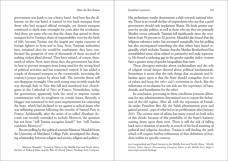government was loath to use a heavy hand. And here lies the dilemma: on the one hand, it wanted to win back mosques from those who had escaped official oversight, yet dozens mosques continued to elude state oversight for years after the revolution. And there are some who say that the chaos that spread in those mosques led to Tunisia's share of responsibility even for the birth of ISIS, because Tunisia was the largest per capita exporter of foreign fighters to Syria and to Iraq. Now, Tunisian authorities have remained alert for would-be combatants, they have confiscated the passports of tens of thousands of those accused of seeking violent jihad abroad. They have missed, of course, thousands of others. Now, since those days, the government has done its best to prevent mosques from being used for the wrong kind of political activities and has reasserted control. It has added a couple of thousand mosques to the countryside, increasing the country's prayer spaces by about half. The terrorist threat will not disappear overnight. One such young man recently made his way through Italy to Nice this fall and murdered four churchgoers in the Cathedral of Nice in France. Nonetheless, today, the government apparently feels the need to impress certain constituencies with its toughness on certain issues. Recently, a blogger was sentenced to two years imprisonment for criticizing the State, which had declined to act against a radical imam who was inflaming passions following the murder of Samuel Paty in France. Additionally, after the series of so-called Abraham Accords was recently extended to include Morocco, the question has not been "will Tunisia recognize Israel?" but "will Tunisia condemn Morocco?"

Recent polling by the political scientist Mansour Moaddel from the University of Maryland, College Park, investigated the changing relationship between religion and society, religion and politics.<sup>3</sup>

His preliminary results demonstrate a shift towards national identity. There is an overall decline of respondents who say that a good government should only implement Sharia. He finds greater support for secular politics, as well as those who say they are primarily Muslim versus primarily Tunisian fell significantly since the revolution from 59 percent to 52 percent. Moaddel also found that the religious tolerance index has increased marginally, but his polling has also encompassed something else that others have found regionally, which includes Tunisia: that the Muslim Brotherhood has reestablished some ideas related to patriarchy and male supremacy. He found a widening gap in the gender equality index; women have a greater sense of gender inequalities than men.

These divergent attitudes about traditionalism and the role of religion reveal deeper discord about political fundamentals. Sometimes it seems that the only things that secularists and Islamists agree upon is that the State should evangelize *their* set of values and keep the *other side's* extremists in check. But the milestones of secularism for one side are the experience of bans, denials, and humiliation for the other.

In conclusion, governing in these conditions presents dilemmas for any administration determined not to repeat the behaviors of the old regime. After all, with the repression of Ennahda under President Ben Ali, the Salafi phenomenon grew and gained ground – part of what led to its proliferation after January 2011. The current state of affairs has many scared on both sides of this divide, because of this possibility of the State's hammer coming down upon them next. There is still the risk of falling back into a situation of anarchy in search of the local meaning of political and religious freedom. Tunisia is still finding the path which will require further refinement of that definition of freedom within its specific context.

tive Longitudinal and Panel Surveys in the Middle East and North Africa." *Middle Eastern Values Survey: Documenting Changing Values in the Middle East*, [https://](https://mevs.org/research/findings) [mevs.org/research/findings](https://mevs.org/research/findings)

<sup>&</sup>lt;sup>3</sup> Mansoor Moaddel, "Trends in Values in the Middle East and North Africa: Decline of Political Islam and the Rise of Liberal Values, Findings from Compara-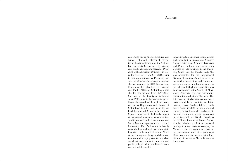<span id="page-55-0"></span>*Lisa Anderson* is Special Lecturer and James T. Shotwell Professor of International Relations Emerita at the Columbia University School of International and Public Affairs. She served as President of the American University in Cairo for five years, from 2011-2016. Prior to her appointment as President, she was the University's provost, a position she had assumed in 2008. She is Dean Emerita of the School of International and Public Affairs at Columbia, where she led the school from 1997-2007. She was on the faculty of Columbia since 1986; prior to her appointment as Dean, she served as Chair of the Political Science Department and Director of Columbia›s Middle East Institute; she held the Shotwell Chair in the Political Science Department. She has also taught at Princeton University's Woodrow Wilson School and in the Government and Social Studies departments at Harvard University. Dr. Anderson's scholarly research has included work on state formation in the Middle East and North Africa; on regime change and democratization in developing countries; and on social science, academic research and public policy both in the United States and around the world.

*Zineb Benalla* is an international expert and consultant in Prevention / Counter Violent Extremism, Counter Terrorism and Peace Building who spent years working in VE hotspots in the Maghreb, Sahel, and the Middle East. She was nominated for the international Women of Courage Award in 2015 for her work in preventing and countering violent extremism and building peace in the Sahel and Maghreb region. She was awarded Alumna of the Year by al-Akhawayn University for her outstanding career after graduation. She won The International Studies Association Peace Section and Kroc Institute for International Peace Studies Global South Peace Award in 2020 for her work and research on gender equality and preventing and countering violent extremism in the Maghreb and Sahel. Benalla is the CEO and founder of Eirene Associates. Int, which is the first international development and security company in Morocco. She is a visiting professor at the intersession unit at al-Akhawayn University where she teaches Rethinking Counter Terrorism in Africa: Lessons in Prevention.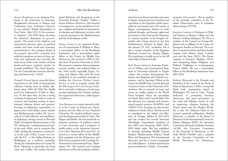*Aymen Boughanmi* is an Assistant Professor at the University of Kairouan. Boughanmi's doctorate in History and Civilization from Sorbonne University was entitled "British Imperialism of Free Trade, 1846-1932: A Geo-economic Analysis." His PhD thesis develops the historical dimension of geo-economics. The study of the relations and interactions between states as political entities and their social and economic environments is the common theme of his research. Since 2011, economic and political transitions in times of deep ruptures and upheavals have become the main focus of his work. Author of three books and many academic articles, he recently published "The Arab Autumn: On the Contradiction between Revolution and Democracy" (2015).

*Pasquale Ferrara* has an extended direct experience in the field of international relations, having been an Italian diplomat since 1984 till 2020 (he finally served as Ambassador of Italy in Algeria). At the same time, he has a strong academic background, both in terms of research and teaching activity in international relations theory and practice, focusing on diplomacy, negotiation, religions and world affairs, peace studies and Mediterranean studies. He was involved in both bilateral and multilateral diplomacy, having served in Brussels (Italy's Permanent Representation to the EU) during the "constitutional process" in the early 2000s, and in countries like Chile (during the transition to democracy in the early 1990s), Greece (as Consul), the  $US = at$  the Italian Embassy in Washington as a political counsellor during the Administration of George W. Bush, following in particular the Iraqi crisis and conflict. He teaches Interna-

tional Relations and Integration at the University Institute "Sophia", Figline e Incisa Valdarno (Florence). His research is focusing now on the problems of culture, religion and identity in international relations and diplomatic activity, with a special attention to the Mediterranean and the Arab-Islamic world.

*Sharan Grewal* is an Assistant Professor of Government at William & Mary, a nonresident fellow at the Brookings Institution, and a nonresident senior fellow at the Project on Middle East Democracy. He received a PhD in Politics from Princeton University in 2018. His research examines democratization, security studies, and political Islam in the Arab world, especially Egypt, Tunisia, and Algeria. His work has been published in top academic journals including the *American Political Science Review* as well as popular outlets like the *Washington Post and Foreign Policy.*  He is currently working on a book manuscript explaining why Tunisia's military has supported democracy while Egypt's overthrew it.

*Amr Hamzawy* is a senior research scholar at the Center on Democracy, Development and the Rule of Law, Stanford University. He studied political science and developmental studies in Cairo, The Hague, and Berlin. He was previously an associate professor of political science at Cairo University and a professor of public policy at the American University in Cairo. Between 2016 and 2017, he served as a senior fellow in the Middle East program and the Democracy and Rule of Law program at the Carnegie Endowment for International Peace, Washington, DC. His research and teaching interests as well as his academic publica-

tions focus on democratization processes in Egypt, tensions between freedom and repression in the Egyptian public space, political movements and civil society in Egypt, contemporary debates in Arab political thought, and human rights and governance in the Arab world. Hamzawy is a former member of the People's Assembly after being elected in the first Parliamentary elections in Egypt after the January 25, 2011 revolution. He is also a former member of the Egyptian National Council for Human Rights. He contributes a weekly op-ed to the All Arab daily al-Quds al-Arabi.

*Ruth Hanau Santini* is Associate Professor of Politics and International Relations at Università Orientale in Naples -where she teaches International Relations and Regional and Global Governance- and is Associate Fellow at the Center for Middle East, Central Asia and Caucasus Center at the University of St. Andrews. She is currently on leave and serves as conflict analyst at the World Food Program where she specializes on North Africa and Central Sahel. She has directed two national and international research projects (EUSPING and STREET POL) focusing on state-society relations in North Africa. She has served as consultant to the Italian vice-Minister of Foreign Affairs in 2012-2013 and has worked for several American (Brookings, Transatlantic Academy of the GMF) and European (SWP, CEPS, ISPI) think tanks. She has published in journals including Middle Eastern Studies, Mediterranean Politics, Small Wars and Insurgency, The International Spectator and has a recent monograph out with Palgrave, "Limited statehood in post-revolutionary Tunisia. Citizenship,

economy and security". She is member of the scientific committee of the Tunisian Observatoire pour la transition démocratique (OTTD).

*Jonathan Laurence* is Professor of Political Science at Boston College and the director of Reset Dialogues US. He is a member of the Council on Foreign Relations and an affiliate of the Center for European Studies at Harvard. He is author of assorted articles and three books: Coping with Defeat: Islam, Catholicism and the State (2021), The Emancipation of Europe's Muslims (2012), and Integrating Islam: Religious and Political Challenges in Contemporary France (2006). He was a nonresident fellow at the Brookings Institution from 2003-2018.

*Radwan Masmoudi* is the Founder and President of the Center of the Study of Islam & Democracy (CSID), a nonprofit think tank organization based in Washington DC and in Tunis, Tunisia dedicated to promoting freedom democracy, and good governance in the Arab and Muslim world, as well as improving relations between the United States and the Muslim World. He is also the Editor-in-Chief of the Center's quarterly publication, Muslim Democrat, a member of the Board of Directors of the International Forum for Islamic Dialogue (IFID), the American Council for the Study of Islamic Societies (ACSIS), the Executive Committee of the Network of Democrats in the Arab World (NDAW), and a member of the Steering Committee of the World Movement for Democracy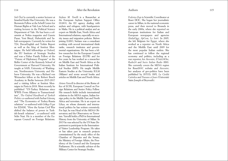<span id="page-57-0"></span>*Soli Özel* is currently a senior lecturer at Istanbul Kadir Has University. He was a Bernstein Fellow at the Schell Center for Human Rights at Yale Law School and a visiting lecturer in the Political Science Department of Yale. He has been a col umnist at Nokta magazine and Gazete Pazar, Yeni Binyıl, Habertürk and Sa bah newspapers. Currently he writes for T24, DuvarEnglish and Yetkin Report as well as the blog of Institut Mon taigne. He held fellowships at Oxford, the EU Institute of Strategic Studies and was a Fisher Family Fellow of the "Future of Diplomacy Program" at the Belfer Center of the Kennedy School of Government at Harvard University. He taught at SAIS, University of Washing ton, Northwestern University and He brew University. He was a Richard von Weizsacker fellow at the Robert Bosch Academy in Berlin between 2015-2017 and a visiting fellow at Institut Mon taigne in Paris in 2018. Most recently he published "US-Turkey Relations since WWII: From Alliance to Transactional ism", *The Oxford Handbook of Turkish Politics* co-authored with Serhat Güvenç and "The Economics of Turkey-Russia relations" co-authored with Gökçe Uçar for EDAM, "How the Syrian Civil War shifted the balance of power in Turk ish-Israeli relations", co-authored with Selin Nasi. He is a member of the Eu ropean Council on Foreign Relations.

*Stefano M. Torelli* is a Researcher at the European Asylum Support Office (EASO), the EU agency dealing with asylum and refugees, with headquarters in Malta. He is a political analyst and an expert on Middle East, North Africa and International relations, especially on secu rity issues and migration policies. Before joining EASO, Stefano was a consultant working with several international think tanks, research institutes and govern mental organizations. He has been a fel low researcher for the European Council on Foreign Relations (ECFR) and for five years he has worked as a researcher on Middle East and North Africa at the Italian Institute for International Polit ical Studies (ISPI). He taught Middle Eastern Studies at the University IULM (Milano) and wrote several books and articles on Middle East and North Africa.

*Arturo Varvelli* is director of the Rome office of ECFR, European Council on Foreign Relations and Senior Policy Fellow. His research fields include international relations in the MENA region, Italian foreign policy in the Middle East and North Africa and terrorism. He is an expert on Libya, on whose domestic and interna tional politics he has written extensively. For Ispi, he was Head of the MENA Ob servatory and the Observatory on Terrorism. Varvelli holds a PhD in International History from the University of Milan. In 2015 he was selected by the US State De partment to participate in the Internation al Visitor Leadership Program. He takes or has taken part in research projects commissioned by the study office of the Chamber of Deputies and the Senate, the Ministry of Foreign Affairs, the Pres idency of the Council and the European Parliament. He is scientific advisor of the Military Center for Strategic Studies.

### Authors

*Federica Zoja* is Scientific Coordinator at Reset DOC. She began her journalistic career in Milan, in the national economic press, and then moved to Brussels in the early 2000s, where she reported on European institutions for Italian and European newspapers and agencies (*ItaliaOggi*, *ApCom*, *Le Soir*). In 2005, she left Belgium for Egypt, where she worked as a reporter on North Africa and the Middle East until 2009 for the most popular Italian outlets. She has continued to follow the regional economy and politics, including as a war reporter, for *Avvenire, Il Sole24Ore*, *Radio24* and *Swiss Italian Radio* (RSI). She currently covers the MENA region for ResetDOC website and *Avvenire*; her analyses of geo-politics have been published by ISTUD, ISPI, *La Civiltà Cattolica* and *Travaux et Jours* (Université Saint-Joseph of Beyrouth).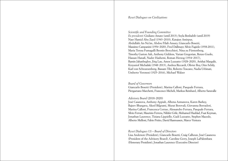### *Reset Dialogues on Civilizations*

*Scientific and Founding Committee*

*Ex presidenti*: Giuliano Amato (until 2013); Seyla Benhabib (until 2019) Nasr Hamid Abu Zayd (1943-2010), Katajun Amirpur, Abdullahi An-Na'im, Abdou Filali-Ansary, Giancarlo Bosetti, Massimo Campanini (1954-2020), Fred Dallmayr, Silvio Fagiolo (1938-2011), Maria Teresa Fumagalli Beonio Brocchieri, Nina zu Fürstenberg, Timothy Garton Ash, Anthony Giddens, Vartan Gregorian, Renzo Guolo, Hassan Hanafi, Nader Hashemi, Roman Herzog (1934-2017), Ramin Jahanbegloo, Jörg Lau, Amos Luzzatto (1928-2020), Avishai Margalit, Krzysztof Michalski (1948-2013), Andrea Riccardi, Olivier Roy, Otto Schily, Karl von Schwarzenberg, Bassam Tibi, Roberto Toscano, Nadia Urbinati, Umberto Veronesi (1925-2016), Michael Walzer

### *Board of Governors*

Giancarlo Bosetti (President), Marina Calloni, Pasquale Ferrara, Piergaetano Marchetti, Francesco Micheli, Markus Reinhard, Alberto Saravalle

### *Advisory Board* (2018-2020)

José Casanova, Anthony Appiah, Albena Azmanova, Karen Barkey, Rajeev Bhargava, Akeel Bilgrami, Murat Borovali, Giovanna Borradori, Marina Calloni, Francesca Corrao, Alessandro Ferrara, Pasquale Ferrara, Silvio Ferrari, Maurizio Ferrera, Nilüfer Göle, Mohamed Haddad, Fuat Keyman, Jonathan Laurence, Tiziana Lippiello, Gadi Luzzatto, Stephen Macedo, Alberto Melloni, Fabio Petito, David Rasmussen, Marco Ventura

### *Reset Dialogues US – Board of Directors*

Lisa Anderson (President), Giancarlo Bosetti, Craig Calhoun, José Casanova (President of the Advisory Board), Caroline Gerry, Joseph LaPalombara (Honorary President), Jonathan Laurence (Executive Director)